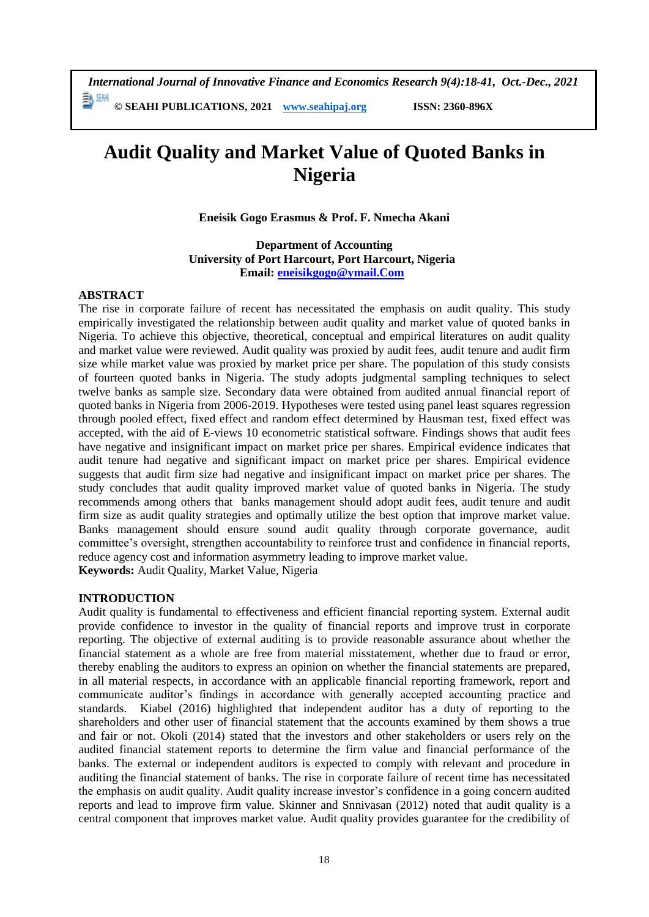*International Journal of Innovative Finance and Economics Research 9(4):18-41, Oct.-Dec., 2021* EA SEAH **© SEAHI PUBLICATIONS, 2021 [www.seahipaj.org](http://www.seahipaj.org/) ISSN: 2360-896X**

# **Audit Quality and Market Value of Quoted Banks in Nigeria**

**Eneisik Gogo Erasmus & Prof. F. Nmecha Akani**

**Department of Accounting University of Port Harcourt, Port Harcourt, Nigeria Email: [eneisikgogo@ymail.Com](mailto:eneisikgogo@ymail.Com)**

#### **ABSTRACT**

The rise in corporate failure of recent has necessitated the emphasis on audit quality. This study empirically investigated the relationship between audit quality and market value of quoted banks in Nigeria. To achieve this objective, theoretical, conceptual and empirical literatures on audit quality and market value were reviewed. Audit quality was proxied by audit fees, audit tenure and audit firm size while market value was proxied by market price per share. The population of this study consists of fourteen quoted banks in Nigeria. The study adopts judgmental sampling techniques to select twelve banks as sample size. Secondary data were obtained from audited annual financial report of quoted banks in Nigeria from 2006-2019. Hypotheses were tested using panel least squares regression through pooled effect, fixed effect and random effect determined by Hausman test, fixed effect was accepted, with the aid of E-views 10 econometric statistical software. Findings shows that audit fees have negative and insignificant impact on market price per shares. Empirical evidence indicates that audit tenure had negative and significant impact on market price per shares. Empirical evidence suggests that audit firm size had negative and insignificant impact on market price per shares. The study concludes that audit quality improved market value of quoted banks in Nigeria. The study recommends among others that banks management should adopt audit fees, audit tenure and audit firm size as audit quality strategies and optimally utilize the best option that improve market value. Banks management should ensure sound audit quality through corporate governance, audit committee's oversight, strengthen accountability to reinforce trust and confidence in financial reports, reduce agency cost and information asymmetry leading to improve market value.

**Keywords:** Audit Quality, Market Value, Nigeria

#### **INTRODUCTION**

Audit quality is fundamental to effectiveness and efficient financial reporting system. External audit provide confidence to investor in the quality of financial reports and improve trust in corporate reporting. The objective of external auditing is to provide reasonable assurance about whether the financial statement as a whole are free from material misstatement, whether due to fraud or error, thereby enabling the auditors to express an opinion on whether the financial statements are prepared, in all material respects, in accordance with an applicable financial reporting framework, report and communicate auditor's findings in accordance with generally accepted accounting practice and standards. Kiabel (2016) highlighted that independent auditor has a duty of reporting to the shareholders and other user of financial statement that the accounts examined by them shows a true and fair or not. Okoli (2014) stated that the investors and other stakeholders or users rely on the audited financial statement reports to determine the firm value and financial performance of the banks. The external or independent auditors is expected to comply with relevant and procedure in auditing the financial statement of banks. The rise in corporate failure of recent time has necessitated the emphasis on audit quality. Audit quality increase investor's confidence in a going concern audited reports and lead to improve firm value. Skinner and Snnivasan (2012) noted that audit quality is a central component that improves market value. Audit quality provides guarantee for the credibility of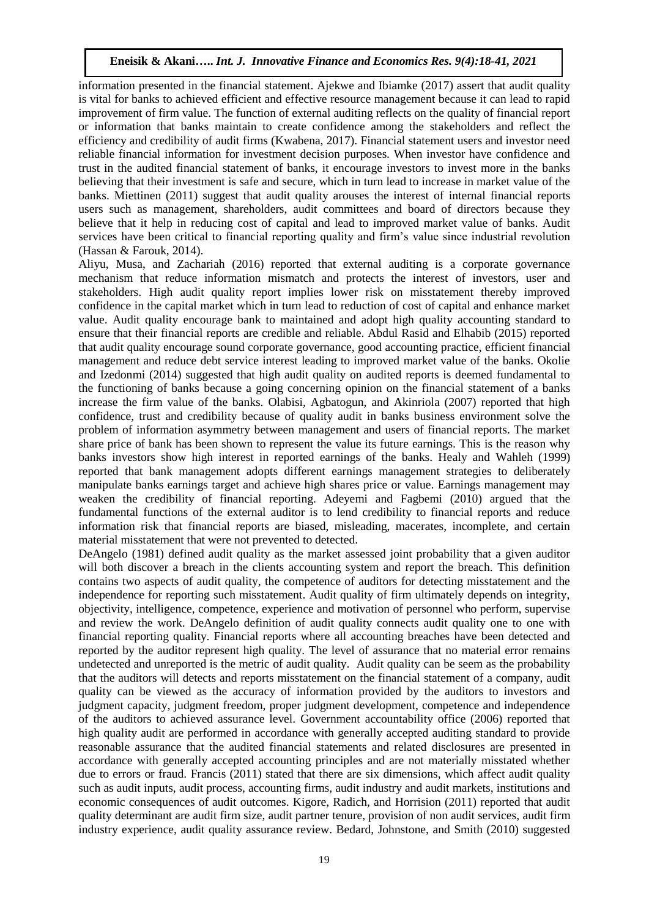information presented in the financial statement. Ajekwe and Ibiamke (2017) assert that audit quality is vital for banks to achieved efficient and effective resource management because it can lead to rapid improvement of firm value. The function of external auditing reflects on the quality of financial report or information that banks maintain to create confidence among the stakeholders and reflect the efficiency and credibility of audit firms (Kwabena, 2017). Financial statement users and investor need reliable financial information for investment decision purposes. When investor have confidence and trust in the audited financial statement of banks, it encourage investors to invest more in the banks believing that their investment is safe and secure, which in turn lead to increase in market value of the banks. Miettinen (2011) suggest that audit quality arouses the interest of internal financial reports users such as management, shareholders, audit committees and board of directors because they believe that it help in reducing cost of capital and lead to improved market value of banks. Audit services have been critical to financial reporting quality and firm's value since industrial revolution (Hassan & Farouk, 2014).

Aliyu, Musa, and Zachariah (2016) reported that external auditing is a corporate governance mechanism that reduce information mismatch and protects the interest of investors, user and stakeholders. High audit quality report implies lower risk on misstatement thereby improved confidence in the capital market which in turn lead to reduction of cost of capital and enhance market value. Audit quality encourage bank to maintained and adopt high quality accounting standard to ensure that their financial reports are credible and reliable. Abdul Rasid and Elhabib (2015) reported that audit quality encourage sound corporate governance, good accounting practice, efficient financial management and reduce debt service interest leading to improved market value of the banks. Okolie and Izedonmi (2014) suggested that high audit quality on audited reports is deemed fundamental to the functioning of banks because a going concerning opinion on the financial statement of a banks increase the firm value of the banks. Olabisi, Agbatogun, and Akinriola (2007) reported that high confidence, trust and credibility because of quality audit in banks business environment solve the problem of information asymmetry between management and users of financial reports. The market share price of bank has been shown to represent the value its future earnings. This is the reason why banks investors show high interest in reported earnings of the banks. Healy and Wahleh (1999) reported that bank management adopts different earnings management strategies to deliberately manipulate banks earnings target and achieve high shares price or value. Earnings management may weaken the credibility of financial reporting. Adeyemi and Fagbemi (2010) argued that the fundamental functions of the external auditor is to lend credibility to financial reports and reduce information risk that financial reports are biased, misleading, macerates, incomplete, and certain material misstatement that were not prevented to detected.

DeAngelo (1981) defined audit quality as the market assessed joint probability that a given auditor will both discover a breach in the clients accounting system and report the breach. This definition contains two aspects of audit quality, the competence of auditors for detecting misstatement and the independence for reporting such misstatement. Audit quality of firm ultimately depends on integrity, objectivity, intelligence, competence, experience and motivation of personnel who perform, supervise and review the work. DeAngelo definition of audit quality connects audit quality one to one with financial reporting quality. Financial reports where all accounting breaches have been detected and reported by the auditor represent high quality. The level of assurance that no material error remains undetected and unreported is the metric of audit quality. Audit quality can be seem as the probability that the auditors will detects and reports misstatement on the financial statement of a company, audit quality can be viewed as the accuracy of information provided by the auditors to investors and judgment capacity, judgment freedom, proper judgment development, competence and independence of the auditors to achieved assurance level. Government accountability office (2006) reported that high quality audit are performed in accordance with generally accepted auditing standard to provide reasonable assurance that the audited financial statements and related disclosures are presented in accordance with generally accepted accounting principles and are not materially misstated whether due to errors or fraud. Francis (2011) stated that there are six dimensions, which affect audit quality such as audit inputs, audit process, accounting firms, audit industry and audit markets, institutions and economic consequences of audit outcomes. Kigore, Radich, and Horrision (2011) reported that audit quality determinant are audit firm size, audit partner tenure, provision of non audit services, audit firm industry experience, audit quality assurance review. Bedard, Johnstone, and Smith (2010) suggested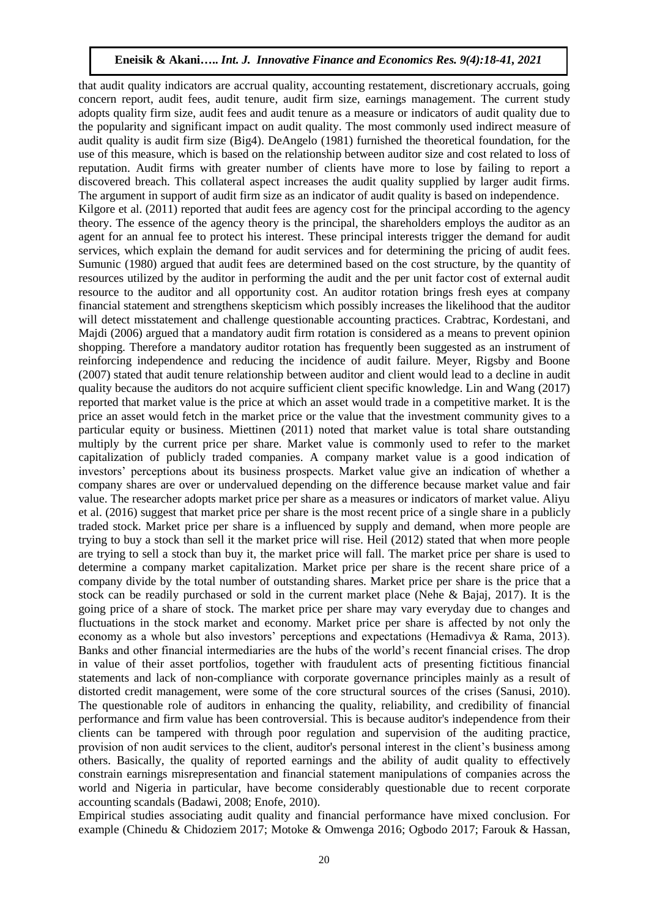that audit quality indicators are accrual quality, accounting restatement, discretionary accruals, going concern report, audit fees, audit tenure, audit firm size, earnings management. The current study adopts quality firm size, audit fees and audit tenure as a measure or indicators of audit quality due to the popularity and significant impact on audit quality. The most commonly used indirect measure of audit quality is audit firm size (Big4). DeAngelo (1981) furnished the theoretical foundation, for the use of this measure, which is based on the relationship between auditor size and cost related to loss of reputation. Audit firms with greater number of clients have more to lose by failing to report a discovered breach. This collateral aspect increases the audit quality supplied by larger audit firms. The argument in support of audit firm size as an indicator of audit quality is based on independence. Kilgore et al. (2011) reported that audit fees are agency cost for the principal according to the agency theory. The essence of the agency theory is the principal, the shareholders employs the auditor as an agent for an annual fee to protect his interest. These principal interests trigger the demand for audit services, which explain the demand for audit services and for determining the pricing of audit fees. Sumunic (1980) argued that audit fees are determined based on the cost structure, by the quantity of resources utilized by the auditor in performing the audit and the per unit factor cost of external audit resource to the auditor and all opportunity cost. An auditor rotation brings fresh eyes at company financial statement and strengthens skepticism which possibly increases the likelihood that the auditor will detect misstatement and challenge questionable accounting practices. Crabtrac, Kordestani, and Majdi (2006) argued that a mandatory audit firm rotation is considered as a means to prevent opinion shopping. Therefore a mandatory auditor rotation has frequently been suggested as an instrument of reinforcing independence and reducing the incidence of audit failure. Meyer, Rigsby and Boone (2007) stated that audit tenure relationship between auditor and client would lead to a decline in audit quality because the auditors do not acquire sufficient client specific knowledge. Lin and Wang (2017) reported that market value is the price at which an asset would trade in a competitive market. It is the price an asset would fetch in the market price or the value that the investment community gives to a particular equity or business. Miettinen (2011) noted that market value is total share outstanding multiply by the current price per share. Market value is commonly used to refer to the market capitalization of publicly traded companies. A company market value is a good indication of investors' perceptions about its business prospects. Market value give an indication of whether a company shares are over or undervalued depending on the difference because market value and fair value. The researcher adopts market price per share as a measures or indicators of market value. Aliyu et al. (2016) suggest that market price per share is the most recent price of a single share in a publicly traded stock. Market price per share is a influenced by supply and demand, when more people are trying to buy a stock than sell it the market price will rise. Heil (2012) stated that when more people are trying to sell a stock than buy it, the market price will fall. The market price per share is used to determine a company market capitalization. Market price per share is the recent share price of a company divide by the total number of outstanding shares. Market price per share is the price that a stock can be readily purchased or sold in the current market place (Nehe & Bajaj, 2017). It is the going price of a share of stock. The market price per share may vary everyday due to changes and fluctuations in the stock market and economy. Market price per share is affected by not only the economy as a whole but also investors' perceptions and expectations (Hemadivya & Rama, 2013). Banks and other financial intermediaries are the hubs of the world's recent financial crises. The drop in value of their asset portfolios, together with fraudulent acts of presenting fictitious financial statements and lack of non-compliance with corporate governance principles mainly as a result of distorted credit management, were some of the core structural sources of the crises (Sanusi, 2010). The questionable role of auditors in enhancing the quality, reliability, and credibility of financial performance and firm value has been controversial. This is because auditor's independence from their clients can be tampered with through poor regulation and supervision of the auditing practice, provision of non audit services to the client, auditor's personal interest in the client's business among others. Basically, the quality of reported earnings and the ability of audit quality to effectively constrain earnings misrepresentation and financial statement manipulations of companies across the world and Nigeria in particular, have become considerably questionable due to recent corporate accounting scandals (Badawi, 2008; Enofe, 2010).

Empirical studies associating audit quality and financial performance have mixed conclusion. For example (Chinedu & Chidoziem 2017; Motoke & Omwenga 2016; Ogbodo 2017; Farouk & Hassan,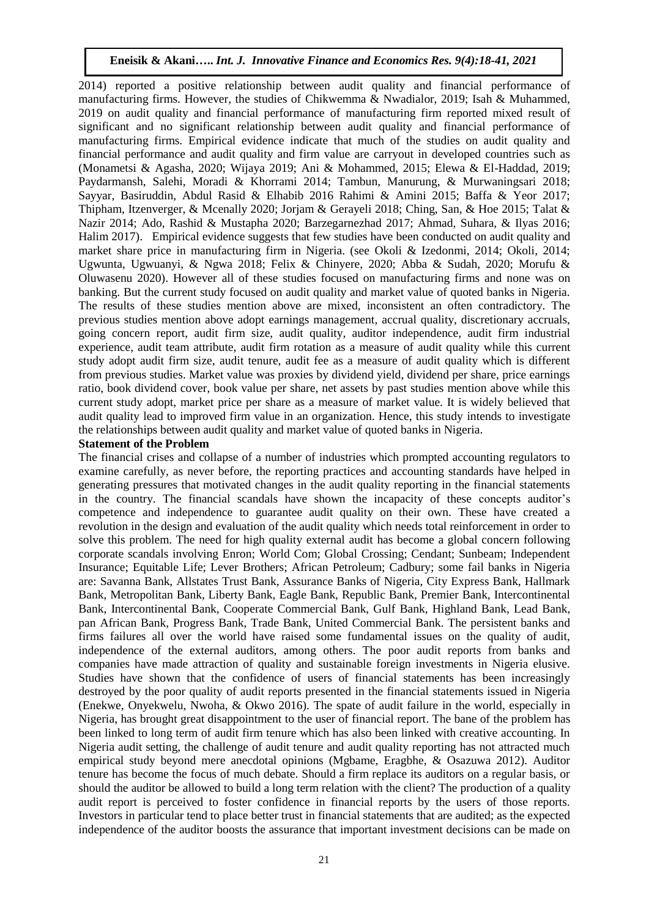2014) reported a positive relationship between audit quality and financial performance of manufacturing firms. However, the studies of Chikwemma & Nwadialor, 2019; Isah & Muhammed, 2019 on audit quality and financial performance of manufacturing firm reported mixed result of significant and no significant relationship between audit quality and financial performance of manufacturing firms. Empirical evidence indicate that much of the studies on audit quality and financial performance and audit quality and firm value are carryout in developed countries such as (Monametsi & Agasha, 2020; Wijaya 2019; Ani & Mohammed, 2015; Elewa & El-Haddad, 2019; Paydarmansh, Salehi, Moradi & Khorrami 2014; Tambun, Manurung, & Murwaningsari 2018; Sayyar, Basiruddin, Abdul Rasid & Elhabib 2016 Rahimi & Amini 2015; Baffa & Yeor 2017; Thipham, Itzenverger, & Mcenally 2020; Jorjam & Gerayeli 2018; Ching, San, & Hoe 2015; Talat & Nazir 2014; Ado, Rashid & Mustapha 2020; Barzegarnezhad 2017; Ahmad, Suhara, & Ilyas 2016; Halim 2017). Empirical evidence suggests that few studies have been conducted on audit quality and market share price in manufacturing firm in Nigeria. (see Okoli & Izedonmi, 2014; Okoli, 2014; Ugwunta, Ugwuanyi, & Ngwa 2018; Felix & Chinyere, 2020; Abba & Sudah, 2020; Morufu & Oluwasenu 2020). However all of these studies focused on manufacturing firms and none was on banking. But the current study focused on audit quality and market value of quoted banks in Nigeria. The results of these studies mention above are mixed, inconsistent an often contradictory. The previous studies mention above adopt earnings management, accrual quality, discretionary accruals, going concern report, audit firm size, audit quality, auditor independence, audit firm industrial experience, audit team attribute, audit firm rotation as a measure of audit quality while this current study adopt audit firm size, audit tenure, audit fee as a measure of audit quality which is different from previous studies. Market value was proxies by dividend yield, dividend per share, price earnings ratio, book dividend cover, book value per share, net assets by past studies mention above while this current study adopt, market price per share as a measure of market value. It is widely believed that audit quality lead to improved firm value in an organization. Hence, this study intends to investigate the relationships between audit quality and market value of quoted banks in Nigeria.

#### **Statement of the Problem**

The financial crises and collapse of a number of industries which prompted accounting regulators to examine carefully, as never before, the reporting practices and accounting standards have helped in generating pressures that motivated changes in the audit quality reporting in the financial statements in the country. The financial scandals have shown the incapacity of these concepts auditor's competence and independence to guarantee audit quality on their own. These have created a revolution in the design and evaluation of the audit quality which needs total reinforcement in order to solve this problem. The need for high quality external audit has become a global concern following corporate scandals involving Enron; World Com; Global Crossing; Cendant; Sunbeam; Independent Insurance; Equitable Life; Lever Brothers; African Petroleum; Cadbury; some fail banks in Nigeria are: Savanna Bank, Allstates Trust Bank, Assurance Banks of Nigeria, City Express Bank, Hallmark Bank, Metropolitan Bank, Liberty Bank, Eagle Bank, Republic Bank, Premier Bank, Intercontinental Bank, Intercontinental Bank, Cooperate Commercial Bank, Gulf Bank, Highland Bank, Lead Bank, pan African Bank, Progress Bank, Trade Bank, United Commercial Bank. The persistent banks and firms failures all over the world have raised some fundamental issues on the quality of audit, independence of the external auditors, among others. The poor audit reports from banks and companies have made attraction of quality and sustainable foreign investments in Nigeria elusive. Studies have shown that the confidence of users of financial statements has been increasingly destroyed by the poor quality of audit reports presented in the financial statements issued in Nigeria (Enekwe, Onyekwelu, Nwoha, & Okwo 2016). The spate of audit failure in the world, especially in Nigeria, has brought great disappointment to the user of financial report. The bane of the problem has been linked to long term of audit firm tenure which has also been linked with creative accounting. In Nigeria audit setting, the challenge of audit tenure and audit quality reporting has not attracted much empirical study beyond mere anecdotal opinions (Mgbame, Eragbhe, & Osazuwa 2012). Auditor tenure has become the focus of much debate. Should a firm replace its auditors on a regular basis, or should the auditor be allowed to build a long term relation with the client? The production of a quality audit report is perceived to foster confidence in financial reports by the users of those reports. Investors in particular tend to place better trust in financial statements that are audited; as the expected independence of the auditor boosts the assurance that important investment decisions can be made on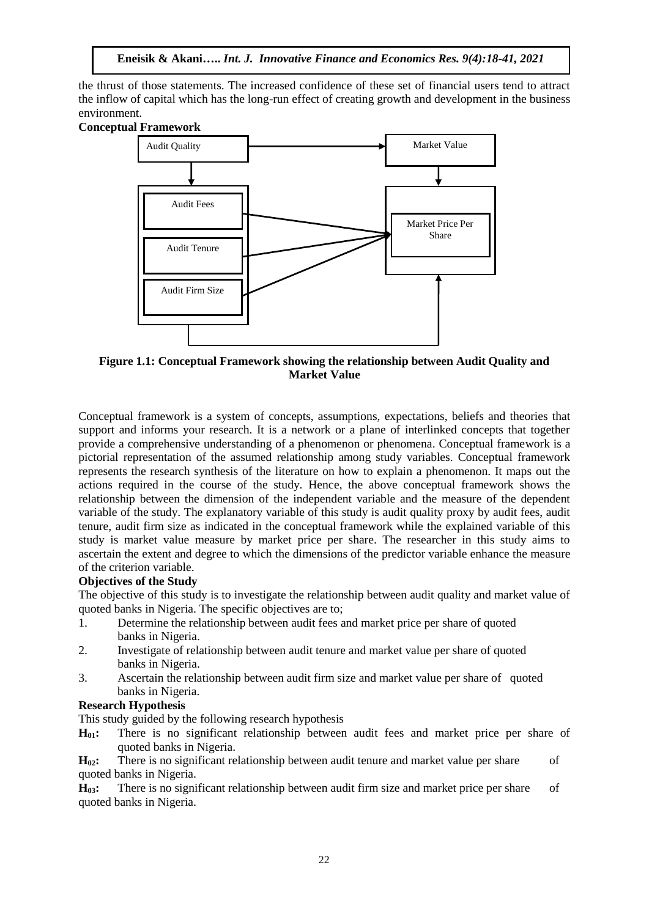the thrust of those statements. The increased confidence of these set of financial users tend to attract the inflow of capital which has the long-run effect of creating growth and development in the business environment.

## **Conceptual Framework**



**Figure 1.1: Conceptual Framework showing the relationship between Audit Quality and Market Value**

Conceptual framework is a system of concepts, assumptions, expectations, beliefs and theories that support and informs your research. It is a network or a plane of interlinked concepts that together provide a comprehensive understanding of a phenomenon or phenomena. Conceptual framework is a pictorial representation of the assumed relationship among study variables. Conceptual framework represents the research synthesis of the literature on how to explain a phenomenon. It maps out the actions required in the course of the study. Hence, the above conceptual framework shows the relationship between the dimension of the independent variable and the measure of the dependent variable of the study. The explanatory variable of this study is audit quality proxy by audit fees, audit tenure, audit firm size as indicated in the conceptual framework while the explained variable of this study is market value measure by market price per share. The researcher in this study aims to ascertain the extent and degree to which the dimensions of the predictor variable enhance the measure of the criterion variable.

## **Objectives of the Study**

The objective of this study is to investigate the relationship between audit quality and market value of quoted banks in Nigeria. The specific objectives are to;

- 1. Determine the relationship between audit fees and market price per share of quoted banks in Nigeria.
- 2. Investigate of relationship between audit tenure and market value per share of quoted banks in Nigeria.
- 3. Ascertain the relationship between audit firm size and market value per share of quoted banks in Nigeria.

#### **Research Hypothesis**

This study guided by the following research hypothesis

**H01:** There is no significant relationship between audit fees and market price per share of quoted banks in Nigeria.

**H**<sub>02</sub>: There is no significant relationship between audit tenure and market value per share of quoted banks in Nigeria.

**H03:** There is no significant relationship between audit firm size and market price per share of quoted banks in Nigeria.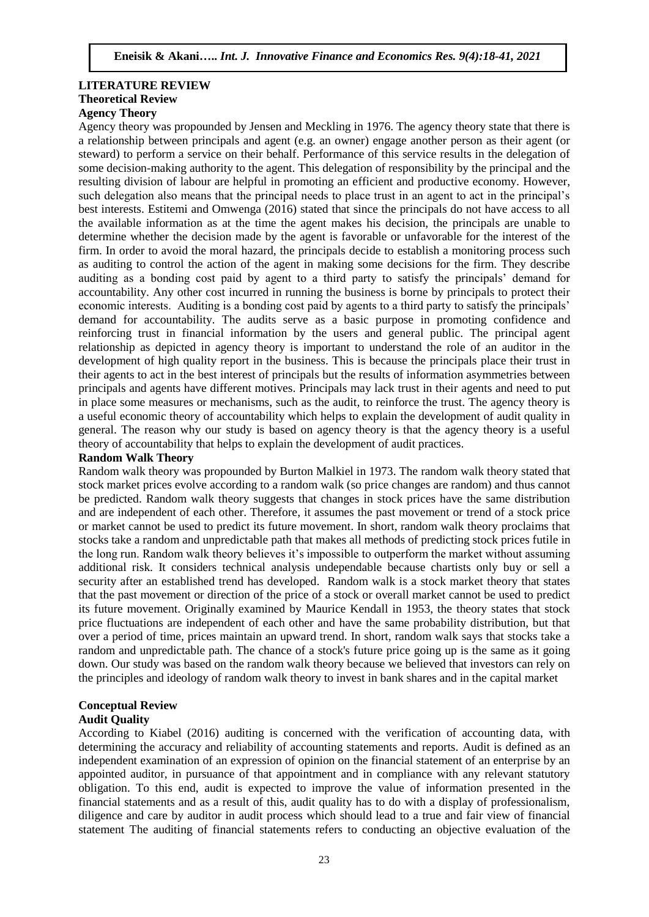## **LITERATURE REVIEW Theoretical Review**

## **Agency Theory**

Agency theory was propounded by Jensen and Meckling in 1976. The agency theory state that there is a relationship between principals and agent (e.g. an owner) engage another person as their agent (or steward) to perform a service on their behalf. Performance of this service results in the delegation of some decision-making authority to the agent. This delegation of responsibility by the principal and the resulting division of labour are helpful in promoting an efficient and productive economy. However, such delegation also means that the principal needs to place trust in an agent to act in the principal's best interests. Estitemi and Omwenga (2016) stated that since the principals do not have access to all the available information as at the time the agent makes his decision, the principals are unable to determine whether the decision made by the agent is favorable or unfavorable for the interest of the firm. In order to avoid the moral hazard, the principals decide to establish a monitoring process such as auditing to control the action of the agent in making some decisions for the firm. They describe auditing as a bonding cost paid by agent to a third party to satisfy the principals' demand for accountability. Any other cost incurred in running the business is borne by principals to protect their economic interests. Auditing is a bonding cost paid by agents to a third party to satisfy the principals' demand for accountability. The audits serve as a basic purpose in promoting confidence and reinforcing trust in financial information by the users and general public. The principal agent relationship as depicted in agency theory is important to understand the role of an auditor in the development of high quality report in the business. This is because the principals place their trust in their agents to act in the best interest of principals but the results of information asymmetries between principals and agents have different motives. Principals may lack trust in their agents and need to put in place some measures or mechanisms, such as the audit, to reinforce the trust. The agency theory is a useful economic theory of accountability which helps to explain the development of audit quality in general. The reason why our study is based on agency theory is that the agency theory is a useful theory of accountability that helps to explain the development of audit practices.

#### **Random Walk Theory**

Random walk theory was propounded by Burton Malkiel in 1973. The random walk theory stated that stock market prices evolve according to a random walk (so price changes are random) and thus cannot be predicted. Random walk theory suggests that changes in stock prices have the same distribution and are independent of each other. Therefore, it assumes the past movement or trend of a stock price or market cannot be used to predict its future movement. In short, random walk theory proclaims that stocks take a random and unpredictable path that makes all methods of predicting stock prices futile in the long run. Random walk theory believes it's impossible to outperform the market without assuming additional risk. It considers technical analysis undependable because chartists only buy or sell a security after an established trend has developed. Random walk is a stock market theory that states that the past movement or direction of the price of a stock or overall market cannot be used to predict its future movement. Originally examined by Maurice Kendall in 1953, the theory states that stock price fluctuations are independent of each other and have the same probability distribution, but that over a period of time, prices maintain an upward trend. In short, random walk says that stocks take a random and unpredictable path. The chance of a stock's future price going up is the same as it going down. Our study was based on the random walk theory because we believed that investors can rely on the principles and ideology of random walk theory to invest in bank shares and in the capital market

## **Conceptual Review**

#### **Audit Quality**

According to Kiabel (2016) auditing is concerned with the verification of accounting data, with determining the accuracy and reliability of accounting statements and reports. Audit is defined as an independent examination of an expression of opinion on the financial statement of an enterprise by an appointed auditor, in pursuance of that appointment and in compliance with any relevant statutory obligation. To this end, audit is expected to improve the value of information presented in the financial statements and as a result of this, audit quality has to do with a display of professionalism, diligence and care by auditor in audit process which should lead to a true and fair view of financial statement The auditing of financial statements refers to conducting an objective evaluation of the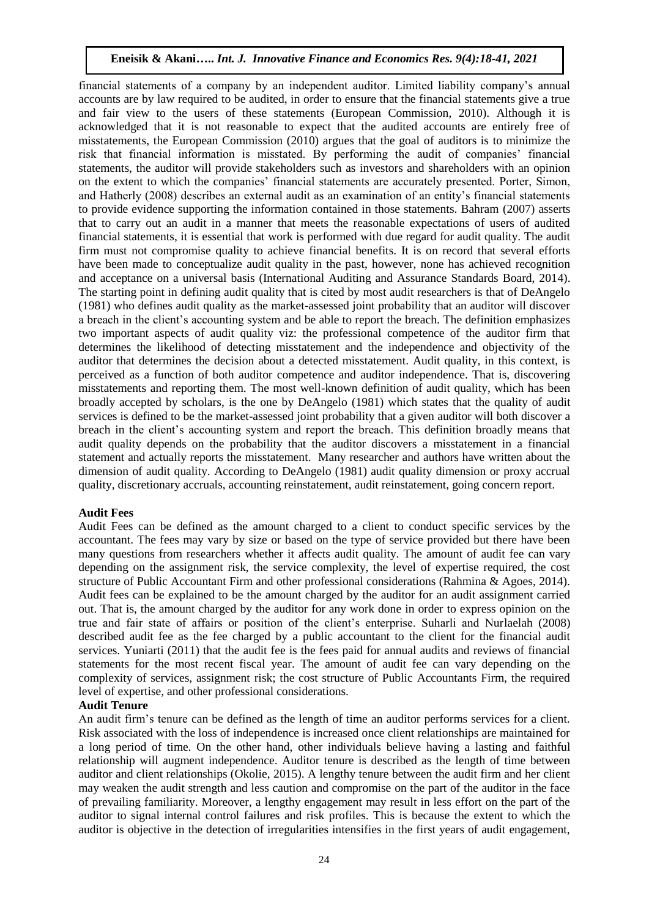financial statements of a company by an independent auditor. Limited liability company's annual accounts are by law required to be audited, in order to ensure that the financial statements give a true and fair view to the users of these statements (European Commission, 2010). Although it is acknowledged that it is not reasonable to expect that the audited accounts are entirely free of misstatements, the European Commission (2010) argues that the goal of auditors is to minimize the risk that financial information is misstated. By performing the audit of companies' financial statements, the auditor will provide stakeholders such as investors and shareholders with an opinion on the extent to which the companies' financial statements are accurately presented. Porter, Simon, and Hatherly (2008) describes an external audit as an examination of an entity's financial statements to provide evidence supporting the information contained in those statements. Bahram (2007) asserts that to carry out an audit in a manner that meets the reasonable expectations of users of audited financial statements, it is essential that work is performed with due regard for audit quality. The audit firm must not compromise quality to achieve financial benefits. It is on record that several efforts have been made to conceptualize audit quality in the past, however, none has achieved recognition and acceptance on a universal basis (International Auditing and Assurance Standards Board, 2014). The starting point in defining audit quality that is cited by most audit researchers is that of DeAngelo (1981) who defines audit quality as the market-assessed joint probability that an auditor will discover a breach in the client's accounting system and be able to report the breach. The definition emphasizes two important aspects of audit quality viz: the professional competence of the auditor firm that determines the likelihood of detecting misstatement and the independence and objectivity of the auditor that determines the decision about a detected misstatement. Audit quality, in this context, is perceived as a function of both auditor competence and auditor independence. That is, discovering misstatements and reporting them. The most well-known definition of audit quality, which has been broadly accepted by scholars, is the one by DeAngelo (1981) which states that the quality of audit services is defined to be the market-assessed joint probability that a given auditor will both discover a breach in the client's accounting system and report the breach. This definition broadly means that audit quality depends on the probability that the auditor discovers a misstatement in a financial statement and actually reports the misstatement. Many researcher and authors have written about the dimension of audit quality. According to DeAngelo (1981) audit quality dimension or proxy accrual quality, discretionary accruals, accounting reinstatement, audit reinstatement, going concern report.

#### **Audit Fees**

Audit Fees can be defined as the amount charged to a client to conduct specific services by the accountant. The fees may vary by size or based on the type of service provided but there have been many questions from researchers whether it affects audit quality. The amount of audit fee can vary depending on the assignment risk, the service complexity, the level of expertise required, the cost structure of Public Accountant Firm and other professional considerations (Rahmina & Agoes, 2014). Audit fees can be explained to be the amount charged by the auditor for an audit assignment carried out. That is, the amount charged by the auditor for any work done in order to express opinion on the true and fair state of affairs or position of the client's enterprise. Suharli and Nurlaelah (2008) described audit fee as the fee charged by a public accountant to the client for the financial audit services. Yuniarti (2011) that the audit fee is the fees paid for annual audits and reviews of financial statements for the most recent fiscal year. The amount of audit fee can vary depending on the complexity of services, assignment risk; the cost structure of Public Accountants Firm, the required level of expertise, and other professional considerations.

#### **Audit Tenure**

An audit firm's tenure can be defined as the length of time an auditor performs services for a client. Risk associated with the loss of independence is increased once client relationships are maintained for a long period of time. On the other hand, other individuals believe having a lasting and faithful relationship will augment independence. Auditor tenure is described as the length of time between auditor and client relationships (Okolie, 2015). A lengthy tenure between the audit firm and her client may weaken the audit strength and less caution and compromise on the part of the auditor in the face of prevailing familiarity. Moreover, a lengthy engagement may result in less effort on the part of the auditor to signal internal control failures and risk profiles. This is because the extent to which the auditor is objective in the detection of irregularities intensifies in the first years of audit engagement,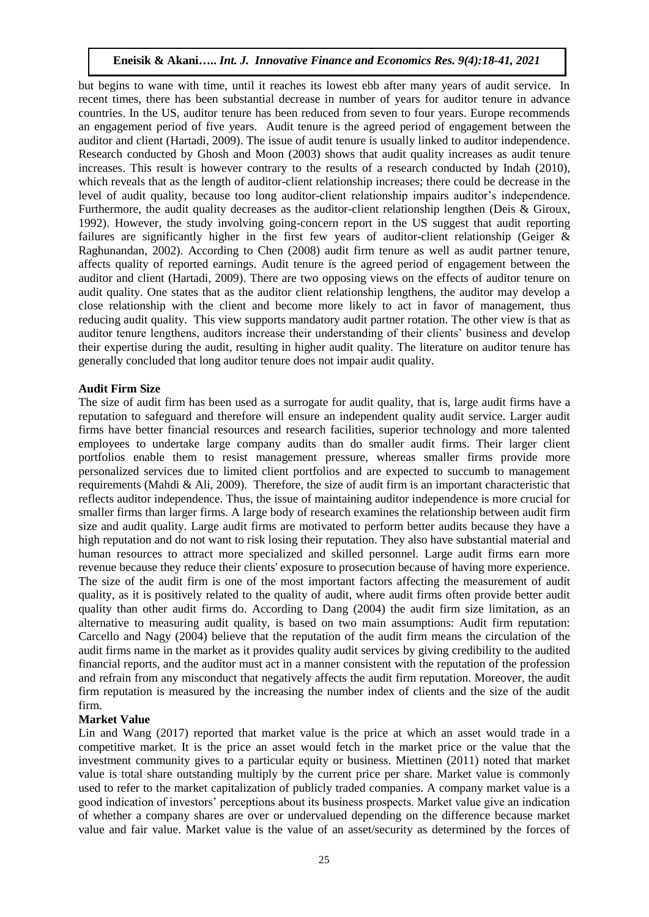but begins to wane with time, until it reaches its lowest ebb after many years of audit service. In recent times, there has been substantial decrease in number of years for auditor tenure in advance countries. In the US, auditor tenure has been reduced from seven to four years. Europe recommends an engagement period of five years. Audit tenure is the agreed period of engagement between the auditor and client (Hartadi, 2009). The issue of audit tenure is usually linked to auditor independence. Research conducted by Ghosh and Moon (2003) shows that audit quality increases as audit tenure increases. This result is however contrary to the results of a research conducted by Indah (2010), which reveals that as the length of auditor-client relationship increases; there could be decrease in the level of audit quality, because too long auditor-client relationship impairs auditor's independence. Furthermore, the audit quality decreases as the auditor-client relationship lengthen (Deis & Giroux, 1992). However, the study involving going-concern report in the US suggest that audit reporting failures are significantly higher in the first few years of auditor-client relationship (Geiger & Raghunandan, 2002). According to Chen (2008) audit firm tenure as well as audit partner tenure, affects quality of reported earnings. Audit tenure is the agreed period of engagement between the auditor and client (Hartadi, 2009). There are two opposing views on the effects of auditor tenure on audit quality. One states that as the auditor client relationship lengthens, the auditor may develop a close relationship with the client and become more likely to act in favor of management, thus reducing audit quality. This view supports mandatory audit partner rotation. The other view is that as auditor tenure lengthens, auditors increase their understanding of their clients' business and develop their expertise during the audit, resulting in higher audit quality. The literature on auditor tenure has generally concluded that long auditor tenure does not impair audit quality.

#### **Audit Firm Size**

The size of audit firm has been used as a surrogate for audit quality, that is, large audit firms have a reputation to safeguard and therefore will ensure an independent quality audit service. Larger audit firms have better financial resources and research facilities, superior technology and more talented employees to undertake large company audits than do smaller audit firms. Their larger client portfolios enable them to resist management pressure, whereas smaller firms provide more personalized services due to limited client portfolios and are expected to succumb to management requirements (Mahdi & Ali, 2009). Therefore, the size of audit firm is an important characteristic that reflects auditor independence. Thus, the issue of maintaining auditor independence is more crucial for smaller firms than larger firms. A large body of research examines the relationship between audit firm size and audit quality. Large audit firms are motivated to perform better audits because they have a high reputation and do not want to risk losing their reputation. They also have substantial material and human resources to attract more specialized and skilled personnel. Large audit firms earn more revenue because they reduce their clients' exposure to prosecution because of having more experience. The size of the audit firm is one of the most important factors affecting the measurement of audit quality, as it is positively related to the quality of audit, where audit firms often provide better audit quality than other audit firms do. According to Dang (2004) the audit firm size limitation, as an alternative to measuring audit quality, is based on two main assumptions: Audit firm reputation: Carcello and Nagy (2004) believe that the reputation of the audit firm means the circulation of the audit firms name in the market as it provides quality audit services by giving credibility to the audited financial reports, and the auditor must act in a manner consistent with the reputation of the profession and refrain from any misconduct that negatively affects the audit firm reputation. Moreover, the audit firm reputation is measured by the increasing the number index of clients and the size of the audit firm.

#### **Market Value**

Lin and Wang (2017) reported that market value is the price at which an asset would trade in a competitive market. It is the price an asset would fetch in the market price or the value that the investment community gives to a particular equity or business. Miettinen (2011) noted that market value is total share outstanding multiply by the current price per share. Market value is commonly used to refer to the market capitalization of publicly traded companies. A company market value is a good indication of investors' perceptions about its business prospects. Market value give an indication of whether a company shares are over or undervalued depending on the difference because market value and fair value. Market value is the value of an asset/security as determined by the forces of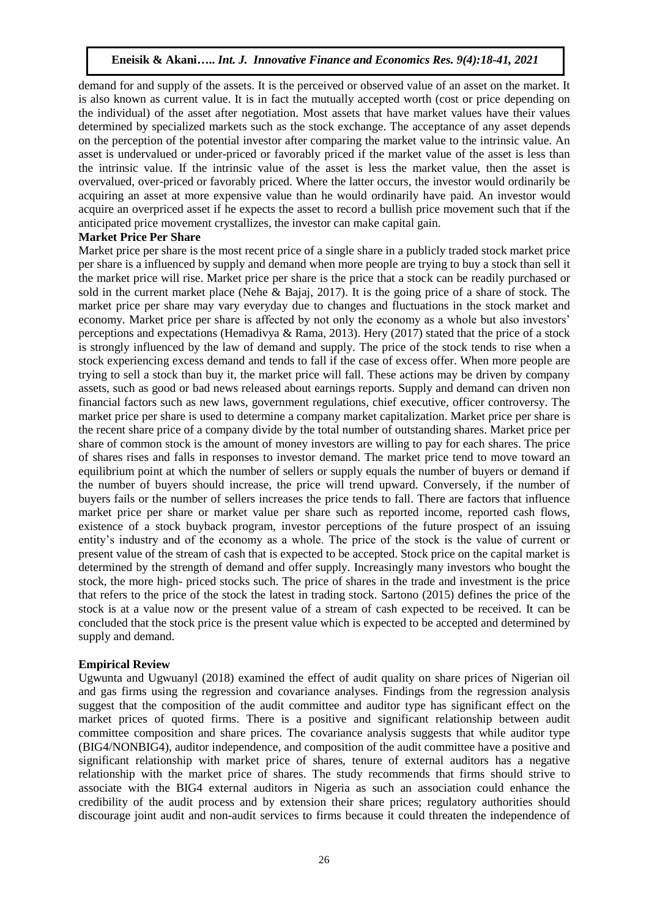demand for and supply of the assets. It is the perceived or observed value of an asset on the market. It is also known as current value. It is in fact the mutually accepted worth (cost or price depending on the individual) of the asset after negotiation. Most assets that have market values have their values determined by specialized markets such as the stock exchange. The acceptance of any asset depends on the perception of the potential investor after comparing the market value to the intrinsic value. An asset is undervalued or under-priced or favorably priced if the market value of the asset is less than the intrinsic value. If the intrinsic value of the asset is less the market value, then the asset is overvalued, over-priced or favorably priced. Where the latter occurs, the investor would ordinarily be acquiring an asset at more expensive value than he would ordinarily have paid. An investor would acquire an overpriced asset if he expects the asset to record a bullish price movement such that if the anticipated price movement crystallizes, the investor can make capital gain.

#### **Market Price Per Share**

Market price per share is the most recent price of a single share in a publicly traded stock market price per share is a influenced by supply and demand when more people are trying to buy a stock than sell it the market price will rise. Market price per share is the price that a stock can be readily purchased or sold in the current market place (Nehe & Bajaj, 2017). It is the going price of a share of stock. The market price per share may vary everyday due to changes and fluctuations in the stock market and economy. Market price per share is affected by not only the economy as a whole but also investors' perceptions and expectations (Hemadivya & Rama, 2013). Hery (2017) stated that the price of a stock is strongly influenced by the law of demand and supply. The price of the stock tends to rise when a stock experiencing excess demand and tends to fall if the case of excess offer. When more people are trying to sell a stock than buy it, the market price will fall. These actions may be driven by company assets, such as good or bad news released about earnings reports. Supply and demand can driven non financial factors such as new laws, government regulations, chief executive, officer controversy. The market price per share is used to determine a company market capitalization. Market price per share is the recent share price of a company divide by the total number of outstanding shares. Market price per share of common stock is the amount of money investors are willing to pay for each shares. The price of shares rises and falls in responses to investor demand. The market price tend to move toward an equilibrium point at which the number of sellers or supply equals the number of buyers or demand if the number of buyers should increase, the price will trend upward. Conversely, if the number of buyers fails or the number of sellers increases the price tends to fall. There are factors that influence market price per share or market value per share such as reported income, reported cash flows, existence of a stock buyback program, investor perceptions of the future prospect of an issuing entity's industry and of the economy as a whole. The price of the stock is the value of current or present value of the stream of cash that is expected to be accepted. Stock price on the capital market is determined by the strength of demand and offer supply. Increasingly many investors who bought the stock, the more high- priced stocks such. The price of shares in the trade and investment is the price that refers to the price of the stock the latest in trading stock. Sartono (2015) defines the price of the stock is at a value now or the present value of a stream of cash expected to be received. It can be concluded that the stock price is the present value which is expected to be accepted and determined by supply and demand.

#### **Empirical Review**

Ugwunta and Ugwuanyl (2018) examined the effect of audit quality on share prices of Nigerian oil and gas firms using the regression and covariance analyses. Findings from the regression analysis suggest that the composition of the audit committee and auditor type has significant effect on the market prices of quoted firms. There is a positive and significant relationship between audit committee composition and share prices. The covariance analysis suggests that while auditor type (BIG4/NONBIG4), auditor independence, and composition of the audit committee have a positive and significant relationship with market price of shares, tenure of external auditors has a negative relationship with the market price of shares. The study recommends that firms should strive to associate with the BIG4 external auditors in Nigeria as such an association could enhance the credibility of the audit process and by extension their share prices; regulatory authorities should discourage joint audit and non-audit services to firms because it could threaten the independence of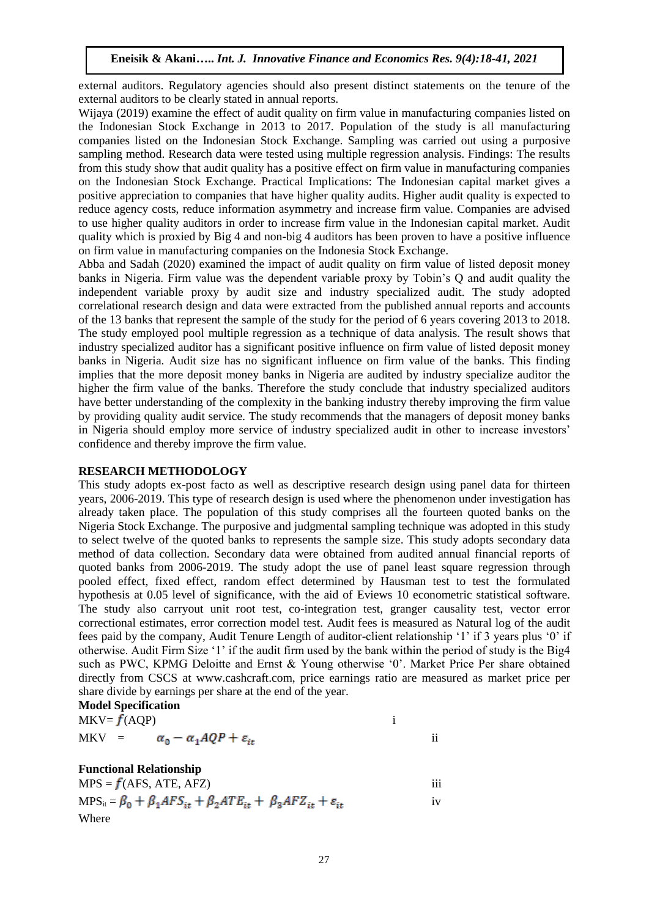external auditors. Regulatory agencies should also present distinct statements on the tenure of the external auditors to be clearly stated in annual reports.

Wijaya (2019) examine the effect of audit quality on firm value in manufacturing companies listed on the Indonesian Stock Exchange in 2013 to 2017. Population of the study is all manufacturing companies listed on the Indonesian Stock Exchange. Sampling was carried out using a purposive sampling method. Research data were tested using multiple regression analysis. Findings: The results from this study show that audit quality has a positive effect on firm value in manufacturing companies on the Indonesian Stock Exchange. Practical Implications: The Indonesian capital market gives a positive appreciation to companies that have higher quality audits. Higher audit quality is expected to reduce agency costs, reduce information asymmetry and increase firm value. Companies are advised to use higher quality auditors in order to increase firm value in the Indonesian capital market. Audit quality which is proxied by Big 4 and non-big 4 auditors has been proven to have a positive influence on firm value in manufacturing companies on the Indonesia Stock Exchange.

Abba and Sadah (2020) examined the impact of audit quality on firm value of listed deposit money banks in Nigeria. Firm value was the dependent variable proxy by Tobin's Q and audit quality the independent variable proxy by audit size and industry specialized audit. The study adopted correlational research design and data were extracted from the published annual reports and accounts of the 13 banks that represent the sample of the study for the period of 6 years covering 2013 to 2018. The study employed pool multiple regression as a technique of data analysis. The result shows that industry specialized auditor has a significant positive influence on firm value of listed deposit money banks in Nigeria. Audit size has no significant influence on firm value of the banks. This finding implies that the more deposit money banks in Nigeria are audited by industry specialize auditor the higher the firm value of the banks. Therefore the study conclude that industry specialized auditors have better understanding of the complexity in the banking industry thereby improving the firm value by providing quality audit service. The study recommends that the managers of deposit money banks in Nigeria should employ more service of industry specialized audit in other to increase investors' confidence and thereby improve the firm value.

#### **RESEARCH METHODOLOGY**

This study adopts ex-post facto as well as descriptive research design using panel data for thirteen years, 2006-2019. This type of research design is used where the phenomenon under investigation has already taken place. The population of this study comprises all the fourteen quoted banks on the Nigeria Stock Exchange. The purposive and judgmental sampling technique was adopted in this study to select twelve of the quoted banks to represents the sample size. This study adopts secondary data method of data collection. Secondary data were obtained from audited annual financial reports of quoted banks from 2006-2019. The study adopt the use of panel least square regression through pooled effect, fixed effect, random effect determined by Hausman test to test the formulated hypothesis at 0.05 level of significance, with the aid of Eviews 10 econometric statistical software. The study also carryout unit root test, co-integration test, granger causality test, vector error correctional estimates, error correction model test. Audit fees is measured as Natural log of the audit fees paid by the company, Audit Tenure Length of auditor-client relationship '1' if 3 years plus '0' if otherwise. Audit Firm Size '1' if the audit firm used by the bank within the period of study is the Big4 such as PWC, KPMG Deloitte and Ernst & Young otherwise '0'. Market Price Per share obtained directly from CSCS at www.cashcraft.com, price earnings ratio are measured as market price per share divide by earnings per share at the end of the year.  $M - 3 - 10$ 

|         | <b>NIOGEL SPECIFICATION</b> |                                              |  |
|---------|-----------------------------|----------------------------------------------|--|
|         | $MKV = f(AQP)$              |                                              |  |
| $MKV =$ |                             | $\alpha_0 - \alpha_1 AQP + \varepsilon_{it}$ |  |

#### **Functional Relationship**

 $MPS = f(AFS, ATE, AFZ)$  iii  $MPS_{it} = \beta_0 + \beta_1 AFS_{it} + \beta_2 ATE_{it} + \beta_3 A FZ_{it} + \varepsilon_{it}$  iv Where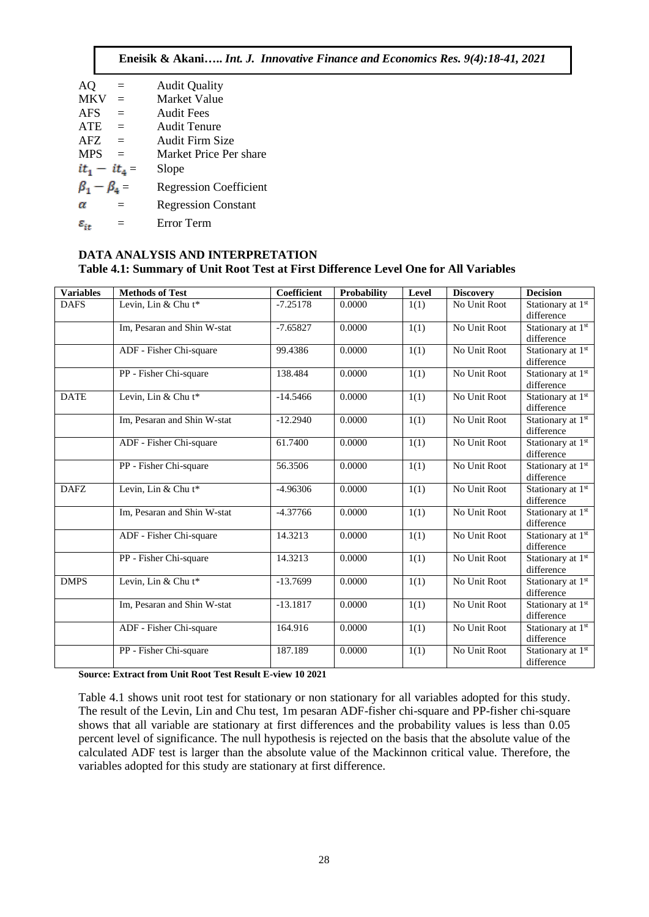**Eneisik & Akani…..** *Int. J. Innovative Finance and Economics Res. 9(4):18-41, 2021*

| AQ                    | $=$      | <b>Audit Quality</b>          |
|-----------------------|----------|-------------------------------|
| <b>MKV</b>            | $=$      | <b>Market Value</b>           |
| <b>AFS</b>            |          | <b>Audit Fees</b>             |
| <b>ATE</b>            | $=$      | Audit Tenure                  |
| <b>AFZ</b>            | $\equiv$ | Audit Firm Size               |
| <b>MPS</b>            |          | Market Price Per share        |
| $it_1 - it_4 =$       |          | Slope                         |
| $\beta_1 - \beta_4 =$ |          | <b>Regression Coefficient</b> |
| α                     | $=$      | <b>Regression Constant</b>    |
| $\varepsilon_{it}$    |          | Error Term                    |

## **DATA ANALYSIS AND INTERPRETATION Table 4.1: Summary of Unit Root Test at First Difference Level One for All Variables**

| <b>Variables</b> | <b>Methods of Test</b>      | Coefficient | <b>Probability</b> | Level | <b>Discovery</b> | <b>Decision</b>                             |
|------------------|-----------------------------|-------------|--------------------|-------|------------------|---------------------------------------------|
| <b>DAFS</b>      | Levin, Lin & Chu t*         | $-7.25178$  | 0.0000             | 1(1)  | No Unit Root     | Stationary at 1st<br>difference             |
|                  | Im, Pesaran and Shin W-stat | $-7.65827$  | 0.0000             | 1(1)  | No Unit Root     | Stationary at 1st<br>difference             |
|                  | ADF - Fisher Chi-square     | 99.4386     | 0.0000             | 1(1)  | No Unit Root     | Stationary at 1st<br>difference             |
|                  | PP - Fisher Chi-square      | 138.484     | 0.0000             | 1(1)  | No Unit Root     | Stationary at 1st<br>difference             |
| <b>DATE</b>      | Levin, Lin & Chu t*         | $-14.5466$  | 0.0000             | 1(1)  | No Unit Root     | Stationary at 1st<br>difference             |
|                  | Im, Pesaran and Shin W-stat | $-12.2940$  | 0.0000             | 1(1)  | No Unit Root     | Stationary at 1st<br>difference             |
|                  | ADF - Fisher Chi-square     | 61.7400     | 0.0000             | 1(1)  | No Unit Root     | Stationary at 1st<br>difference             |
|                  | PP - Fisher Chi-square      | 56.3506     | 0.0000             | 1(1)  | No Unit Root     | Stationary at 1 <sup>st</sup><br>difference |
| <b>DAFZ</b>      | Levin, Lin & Chu t*         | $-4.96306$  | 0.0000             | 1(1)  | No Unit Root     | Stationary at 1st<br>difference             |
|                  | Im, Pesaran and Shin W-stat | $-4.37766$  | 0.0000             | 1(1)  | No Unit Root     | Stationary at 1st<br>difference             |
|                  | ADF - Fisher Chi-square     | 14.3213     | 0.0000             | 1(1)  | No Unit Root     | Stationary at 1st<br>difference             |
|                  | PP - Fisher Chi-square      | 14.3213     | 0.0000             | 1(1)  | No Unit Root     | Stationary at 1st<br>difference             |
| <b>DMPS</b>      | Levin, Lin & Chu t*         | $-13.7699$  | 0.0000             | 1(1)  | No Unit Root     | Stationary at 1st<br>difference             |
|                  | Im, Pesaran and Shin W-stat | $-13.1817$  | 0.0000             | 1(1)  | No Unit Root     | Stationary at 1st<br>difference             |
|                  | ADF - Fisher Chi-square     | 164.916     | 0.0000             | 1(1)  | No Unit Root     | Stationary at 1st<br>difference             |
|                  | PP - Fisher Chi-square      | 187.189     | 0.0000             | 1(1)  | No Unit Root     | Stationary at 1st<br>difference             |

**Source: Extract from Unit Root Test Result E-view 10 2021**

Table 4.1 shows unit root test for stationary or non stationary for all variables adopted for this study. The result of the Levin, Lin and Chu test, 1m pesaran ADF-fisher chi-square and PP-fisher chi-square shows that all variable are stationary at first differences and the probability values is less than 0.05 percent level of significance. The null hypothesis is rejected on the basis that the absolute value of the calculated ADF test is larger than the absolute value of the Mackinnon critical value. Therefore, the variables adopted for this study are stationary at first difference.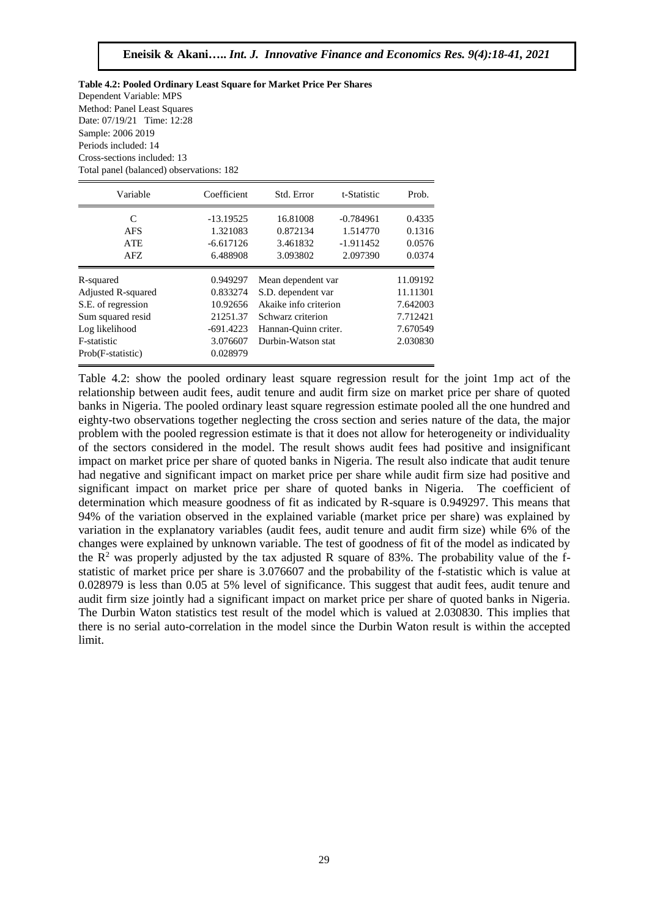#### **Table 4.2: Pooled Ordinary Least Square for Market Price Per Shares**  Dependent Variable: MPS Method: Panel Least Squares Date: 07/19/21 Time: 12:28 Sample: 2006 2019 Periods included: 14 Cross-sections included: 13 Total panel (balanced) observations: 182

| Variable           | Coefficient | Std. Error            | t-Statistic | Prob.    |
|--------------------|-------------|-----------------------|-------------|----------|
| C                  | $-13.19525$ | 16.81008              | $-0.784961$ | 0.4335   |
| <b>AFS</b>         | 1.321083    | 0.872134              | 1.514770    | 0.1316   |
| <b>ATE</b>         | $-6.617126$ | 3.461832              | $-1.911452$ | 0.0576   |
| AFZ.               | 6.488908    | 3.093802              | 2.097390    | 0.0374   |
| R-squared          | 0.949297    | Mean dependent var    |             | 11.09192 |
| Adjusted R-squared | 0.833274    | S.D. dependent var    |             | 11.11301 |
| S.E. of regression | 10.92656    | Akaike info criterion |             | 7.642003 |
| Sum squared resid  | 21251.37    | Schwarz criterion     |             | 7.712421 |
| Log likelihood     | $-691.4223$ | Hannan-Quinn criter.  |             | 7.670549 |
| F-statistic        | 3.076607    | Durbin-Watson stat    |             | 2.030830 |
| Prob(F-statistic)  | 0.028979    |                       |             |          |

Table 4.2: show the pooled ordinary least square regression result for the joint 1mp act of the relationship between audit fees, audit tenure and audit firm size on market price per share of quoted banks in Nigeria. The pooled ordinary least square regression estimate pooled all the one hundred and eighty-two observations together neglecting the cross section and series nature of the data, the major problem with the pooled regression estimate is that it does not allow for heterogeneity or individuality of the sectors considered in the model. The result shows audit fees had positive and insignificant impact on market price per share of quoted banks in Nigeria. The result also indicate that audit tenure had negative and significant impact on market price per share while audit firm size had positive and significant impact on market price per share of quoted banks in Nigeria. The coefficient of determination which measure goodness of fit as indicated by R-square is 0.949297. This means that 94% of the variation observed in the explained variable (market price per share) was explained by variation in the explanatory variables (audit fees, audit tenure and audit firm size) while 6% of the changes were explained by unknown variable. The test of goodness of fit of the model as indicated by the  $R^2$  was properly adjusted by the tax adjusted R square of 83%. The probability value of the fstatistic of market price per share is 3.076607 and the probability of the f-statistic which is value at 0.028979 is less than 0.05 at 5% level of significance. This suggest that audit fees, audit tenure and audit firm size jointly had a significant impact on market price per share of quoted banks in Nigeria. The Durbin Waton statistics test result of the model which is valued at 2.030830. This implies that there is no serial auto-correlation in the model since the Durbin Waton result is within the accepted limit.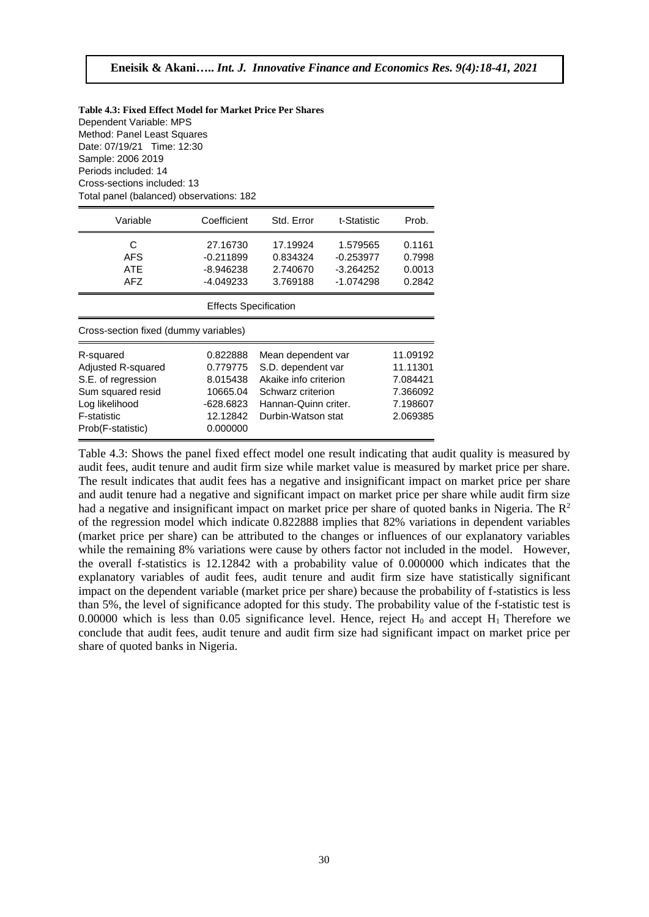| Table 4.3: Fixed Effect Model for Market Price Per Shares |
|-----------------------------------------------------------|
| Dependent Variable: MPS                                   |
| Method: Panel Least Squares                               |
| Date: 07/19/21 Time: 12:30                                |
| Sample: 2006 2019                                         |
| Periods included: 14                                      |
| Cross-sections included: 13                               |
| Total panel (balanced) observations: 182                  |

| Variable                                                                                                                                       | Coefficient                                                                       | Std. Error                                                                                                                           | t-Statistic                                           | Prob.                                                                |  |  |  |  |
|------------------------------------------------------------------------------------------------------------------------------------------------|-----------------------------------------------------------------------------------|--------------------------------------------------------------------------------------------------------------------------------------|-------------------------------------------------------|----------------------------------------------------------------------|--|--|--|--|
| C<br><b>AFS</b><br>ATE<br><b>AFZ</b>                                                                                                           | 27.16730<br>$-0.211899$<br>-8.946238<br>-4.049233                                 | 17.19924<br>0.834324<br>2.740670<br>3.769188                                                                                         | 1.579565<br>$-0.253977$<br>$-3.264252$<br>$-1.074298$ | 0.1161<br>0.7998<br>0.0013<br>0.2842                                 |  |  |  |  |
| <b>Effects Specification</b>                                                                                                                   |                                                                                   |                                                                                                                                      |                                                       |                                                                      |  |  |  |  |
| Cross-section fixed (dummy variables)                                                                                                          |                                                                                   |                                                                                                                                      |                                                       |                                                                      |  |  |  |  |
| R-squared<br><b>Adjusted R-squared</b><br>S.E. of regression<br>Sum squared resid<br>Log likelihood<br><b>F-statistic</b><br>Prob(F-statistic) | 0.822888<br>0.779775<br>8.015438<br>10665.04<br>-628.6823<br>12.12842<br>0.000000 | Mean dependent var<br>S.D. dependent var<br>Akaike info criterion<br>Schwarz criterion<br>Hannan-Quinn criter.<br>Durbin-Watson stat |                                                       | 11.09192<br>11.11301<br>7.084421<br>7.366092<br>7.198607<br>2.069385 |  |  |  |  |

Table 4.3: Shows the panel fixed effect model one result indicating that audit quality is measured by audit fees, audit tenure and audit firm size while market value is measured by market price per share. The result indicates that audit fees has a negative and insignificant impact on market price per share and audit tenure had a negative and significant impact on market price per share while audit firm size had a negative and insignificant impact on market price per share of quoted banks in Nigeria. The  $\mathbb{R}^2$ of the regression model which indicate 0.822888 implies that 82% variations in dependent variables (market price per share) can be attributed to the changes or influences of our explanatory variables while the remaining 8% variations were cause by others factor not included in the model. However, the overall f-statistics is 12.12842 with a probability value of 0.000000 which indicates that the explanatory variables of audit fees, audit tenure and audit firm size have statistically significant impact on the dependent variable (market price per share) because the probability of f-statistics is less than 5%, the level of significance adopted for this study. The probability value of the f-statistic test is 0.00000 which is less than 0.05 significance level. Hence, reject  $H_0$  and accept  $H_1$  Therefore we conclude that audit fees, audit tenure and audit firm size had significant impact on market price per share of quoted banks in Nigeria.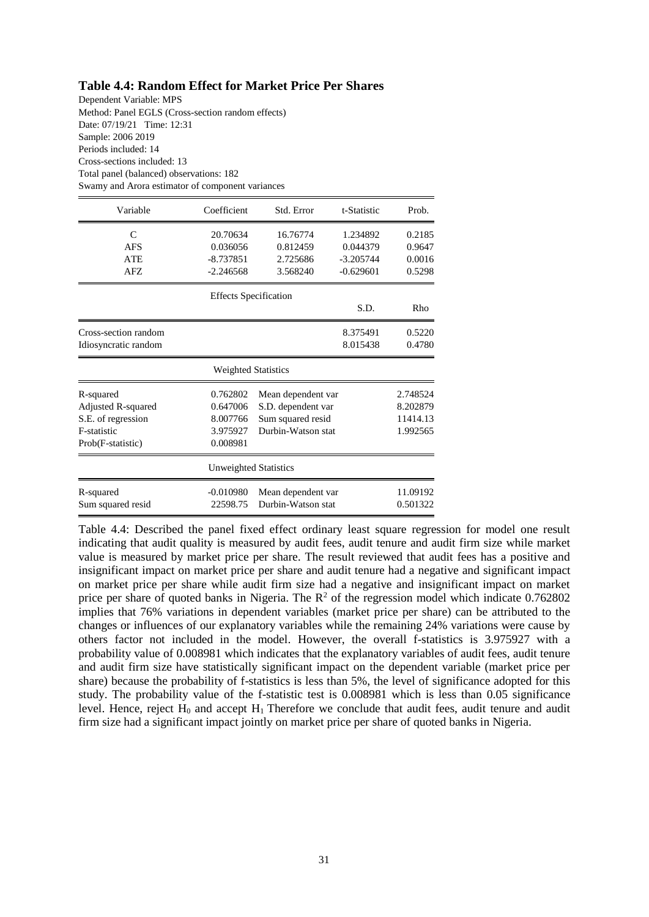## **Table 4.4: Random Effect for Market Price Per Shares**

Dependent Variable: MPS Method: Panel EGLS (Cross-section random effects) Date: 07/19/21 Time: 12:31 Sample: 2006 2019 Periods included: 14 Cross-sections included: 13 Total panel (balanced) observations: 182 Swamy and Arora estimator of component variances

| Variable             | Coefficient                  | Std. Error         | t-Statistic | Prob.    |
|----------------------|------------------------------|--------------------|-------------|----------|
| C                    | 20.70634                     | 16.76774           | 1.234892    | 0.2185   |
| <b>AFS</b>           | 0.036056                     | 0.812459           | 0.044379    | 0.9647   |
| <b>ATE</b>           | $-8.737851$                  | 2.725686           | $-3.205744$ | 0.0016   |
| AFZ.                 | $-2.246568$                  | 3.568240           | $-0.629601$ | 0.5298   |
|                      | <b>Effects Specification</b> |                    |             |          |
|                      |                              |                    | S.D.        | Rho      |
| Cross-section random |                              |                    | 8.375491    | 0.5220   |
| Idiosyncratic random |                              |                    | 8.015438    | 0.4780   |
|                      | <b>Weighted Statistics</b>   |                    |             |          |
| R-squared            | 0.762802                     | Mean dependent var |             | 2.748524 |
| Adjusted R-squared   | 0.647006                     | S.D. dependent var |             | 8.202879 |
| S.E. of regression   | 8.007766                     | Sum squared resid  |             | 11414.13 |
| <b>F-statistic</b>   | 3.975927                     | Durbin-Watson stat |             | 1.992565 |
| Prob(F-statistic)    | 0.008981                     |                    |             |          |
|                      | Unweighted Statistics        |                    |             |          |
| R-squared            | $-0.010980$                  | Mean dependent var |             | 11.09192 |
| Sum squared resid    | 22598.75                     | Durbin-Watson stat |             | 0.501322 |

Table 4.4: Described the panel fixed effect ordinary least square regression for model one result indicating that audit quality is measured by audit fees, audit tenure and audit firm size while market value is measured by market price per share. The result reviewed that audit fees has a positive and insignificant impact on market price per share and audit tenure had a negative and significant impact on market price per share while audit firm size had a negative and insignificant impact on market price per share of quoted banks in Nigeria. The  $R^2$  of the regression model which indicate 0.762802 implies that 76% variations in dependent variables (market price per share) can be attributed to the changes or influences of our explanatory variables while the remaining 24% variations were cause by others factor not included in the model. However, the overall f-statistics is 3.975927 with a probability value of 0.008981 which indicates that the explanatory variables of audit fees, audit tenure and audit firm size have statistically significant impact on the dependent variable (market price per share) because the probability of f-statistics is less than 5%, the level of significance adopted for this study. The probability value of the f-statistic test is 0.008981 which is less than 0.05 significance level. Hence, reject  $H_0$  and accept  $H_1$  Therefore we conclude that audit fees, audit tenure and audit firm size had a significant impact jointly on market price per share of quoted banks in Nigeria.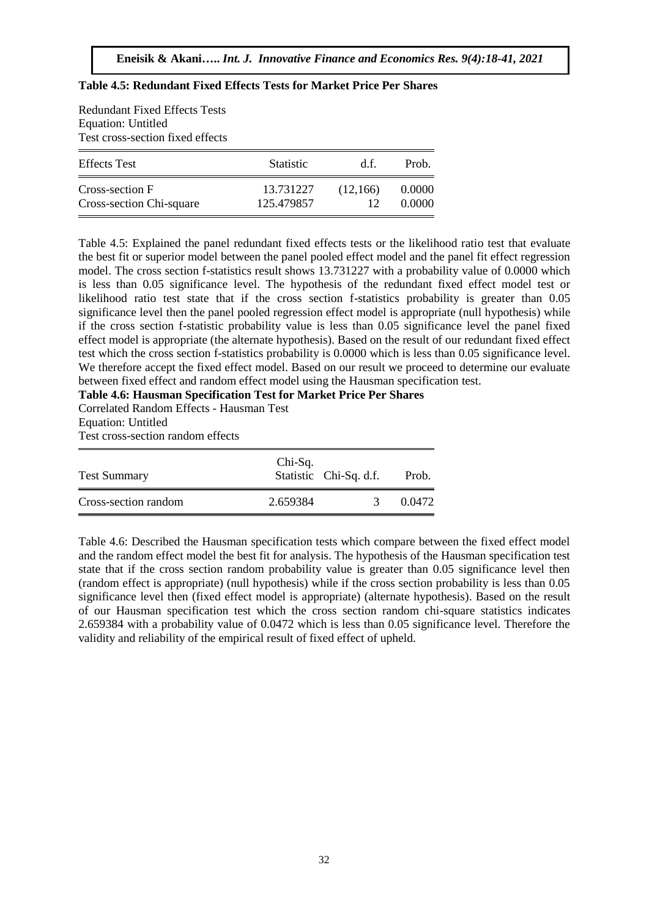| <b>Redundant Fixed Effects Tests</b><br><b>Equation: Untitled</b><br>Test cross-section fixed effects |                         |                |                  |
|-------------------------------------------------------------------------------------------------------|-------------------------|----------------|------------------|
| <b>Effects</b> Test                                                                                   | <b>Statistic</b>        | d f            | Prob.            |
| Cross-section F<br>Cross-section Chi-square                                                           | 13.731227<br>125.479857 | (12,166)<br>12 | 0.0000<br>0.0000 |

#### **Table 4.5: Redundant Fixed Effects Tests for Market Price Per Shares**

Table 4.5: Explained the panel redundant fixed effects tests or the likelihood ratio test that evaluate the best fit or superior model between the panel pooled effect model and the panel fit effect regression model. The cross section f-statistics result shows 13.731227 with a probability value of 0.0000 which is less than 0.05 significance level. The hypothesis of the redundant fixed effect model test or likelihood ratio test state that if the cross section f-statistics probability is greater than 0.05 significance level then the panel pooled regression effect model is appropriate (null hypothesis) while if the cross section f-statistic probability value is less than 0.05 significance level the panel fixed effect model is appropriate (the alternate hypothesis). Based on the result of our redundant fixed effect test which the cross section f-statistics probability is 0.0000 which is less than 0.05 significance level. We therefore accept the fixed effect model. Based on our result we proceed to determine our evaluate between fixed effect and random effect model using the Hausman specification test.

**Table 4.6: Hausman Specification Test for Market Price Per Shares** 

Correlated Random Effects - Hausman Test Equation: Untitled Test cross-section random effects

| <b>Test Summary</b>  | Chi-Sq.  | Statistic Chi-Sq. d.f. | Prob.  |
|----------------------|----------|------------------------|--------|
| Cross-section random | 2.659384 |                        | 0.0472 |

Table 4.6: Described the Hausman specification tests which compare between the fixed effect model and the random effect model the best fit for analysis. The hypothesis of the Hausman specification test state that if the cross section random probability value is greater than 0.05 significance level then (random effect is appropriate) (null hypothesis) while if the cross section probability is less than 0.05 significance level then (fixed effect model is appropriate) (alternate hypothesis). Based on the result of our Hausman specification test which the cross section random chi-square statistics indicates 2.659384 with a probability value of 0.0472 which is less than 0.05 significance level. Therefore the validity and reliability of the empirical result of fixed effect of upheld.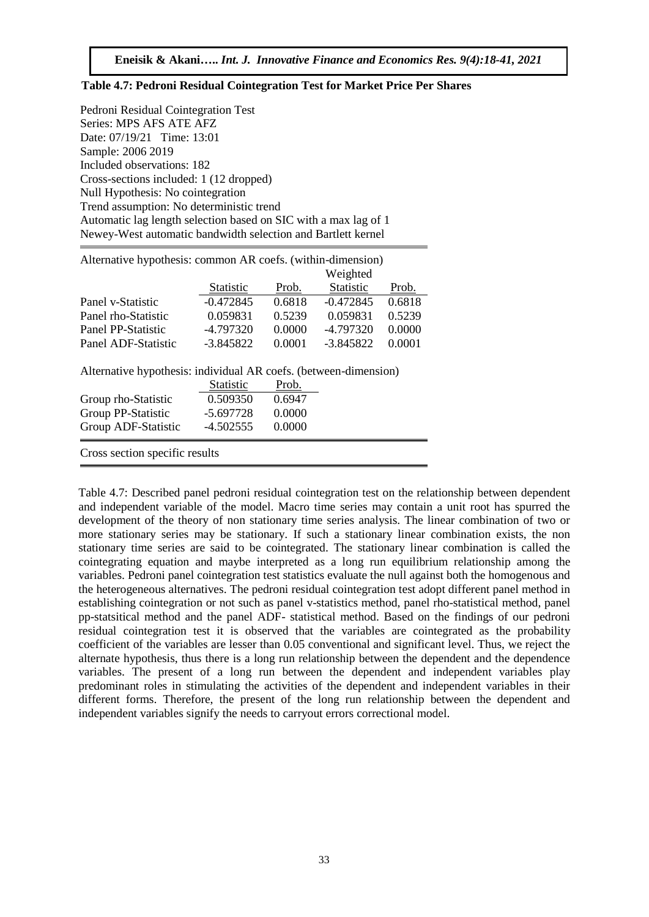#### **Table 4.7: Pedroni Residual Cointegration Test for Market Price Per Shares**

Pedroni Residual Cointegration Test Series: MPS AFS ATE AFZ Date: 07/19/21 Time: 13:01 Sample: 2006 2019 Included observations: 182 Cross-sections included: 1 (12 dropped) Null Hypothesis: No cointegration Trend assumption: No deterministic trend Automatic lag length selection based on SIC with a max lag of 1 Newey-West automatic bandwidth selection and Bartlett kernel

Alternative hypothesis: common AR coefs. (within-dimension)

|                     |                  |        | Weighted    |        |
|---------------------|------------------|--------|-------------|--------|
|                     | <b>Statistic</b> | Prob.  | Statistic   | Prob.  |
| Panel v-Statistic   | $-0.472845$      | 0.6818 | $-0.472845$ | 0.6818 |
| Panel rho-Statistic | 0.059831         | 0.5239 | 0.059831    | 0.5239 |
| Panel PP-Statistic  | $-4.797320$      | 0.0000 | -4.797320   | 0.0000 |
| Panel ADF-Statistic | $-3.845822$      | 0.0001 | $-3.845822$ | 0.0001 |

Alternative hypothesis: individual AR coefs. (between-dimension)

|                                | Statistic | <u>Prob.</u> |
|--------------------------------|-----------|--------------|
| Group rho-Statistic            | 0.509350  | 0.6947       |
| Group PP-Statistic             | -5.697728 | 0.0000       |
| Group ADF-Statistic            | -4.502555 | 0.0000       |
| Cross section specific results |           |              |

Table 4.7: Described panel pedroni residual cointegration test on the relationship between dependent and independent variable of the model. Macro time series may contain a unit root has spurred the development of the theory of non stationary time series analysis. The linear combination of two or more stationary series may be stationary. If such a stationary linear combination exists, the non stationary time series are said to be cointegrated. The stationary linear combination is called the cointegrating equation and maybe interpreted as a long run equilibrium relationship among the variables. Pedroni panel cointegration test statistics evaluate the null against both the homogenous and the heterogeneous alternatives. The pedroni residual cointegration test adopt different panel method in establishing cointegration or not such as panel v-statistics method, panel rho-statistical method, panel pp-statsitical method and the panel ADF- statistical method. Based on the findings of our pedroni residual cointegration test it is observed that the variables are cointegrated as the probability coefficient of the variables are lesser than 0.05 conventional and significant level. Thus, we reject the alternate hypothesis, thus there is a long run relationship between the dependent and the dependence variables. The present of a long run between the dependent and independent variables play predominant roles in stimulating the activities of the dependent and independent variables in their different forms. Therefore, the present of the long run relationship between the dependent and independent variables signify the needs to carryout errors correctional model.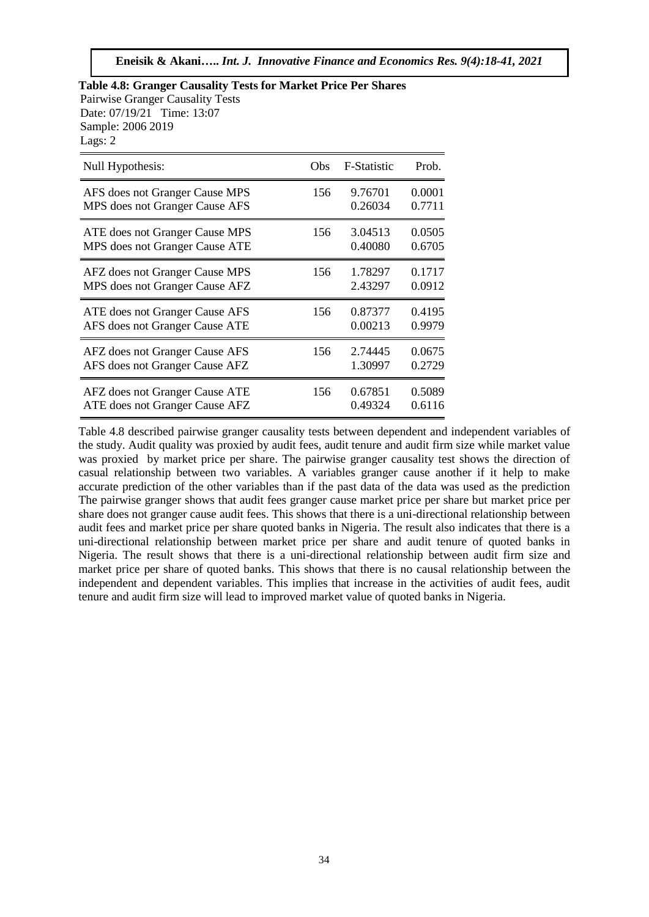| Lags: 2<br>Null Hypothesis:    | Obs | F-Statistic | Prob.  |
|--------------------------------|-----|-------------|--------|
| AFS does not Granger Cause MPS | 156 | 9.76701     | 0.0001 |
| MPS does not Granger Cause AFS |     | 0.26034     | 0.7711 |
| ATE does not Granger Cause MPS | 156 | 3.04513     | 0.0505 |
| MPS does not Granger Cause ATE |     | 0.40080     | 0.6705 |
| AFZ does not Granger Cause MPS | 156 | 1.78297     | 0.1717 |
| MPS does not Granger Cause AFZ |     | 2.43297     | 0.0912 |
| ATE does not Granger Cause AFS | 156 | 0.87377     | 0.4195 |
| AFS does not Granger Cause ATE |     | 0.00213     | 0.9979 |
| AFZ does not Granger Cause AFS | 156 | 2.74445     | 0.0675 |
| AFS does not Granger Cause AFZ |     | 1.30997     | 0.2729 |
| AFZ does not Granger Cause ATE | 156 | 0.67851     | 0.5089 |
| ATE does not Granger Cause AFZ |     | 0.49324     | 0.6116 |

**Table 4.8: Granger Causality Tests for Market Price Per Shares**  Pairwise Granger Causality Tests Date: 07/19/21 Time: 13:07

Table 4.8 described pairwise granger causality tests between dependent and independent variables of the study. Audit quality was proxied by audit fees, audit tenure and audit firm size while market value was proxied by market price per share. The pairwise granger causality test shows the direction of casual relationship between two variables. A variables granger cause another if it help to make accurate prediction of the other variables than if the past data of the data was used as the prediction The pairwise granger shows that audit fees granger cause market price per share but market price per share does not granger cause audit fees. This shows that there is a uni-directional relationship between audit fees and market price per share quoted banks in Nigeria. The result also indicates that there is a uni-directional relationship between market price per share and audit tenure of quoted banks in Nigeria. The result shows that there is a uni-directional relationship between audit firm size and market price per share of quoted banks. This shows that there is no causal relationship between the independent and dependent variables. This implies that increase in the activities of audit fees, audit tenure and audit firm size will lead to improved market value of quoted banks in Nigeria.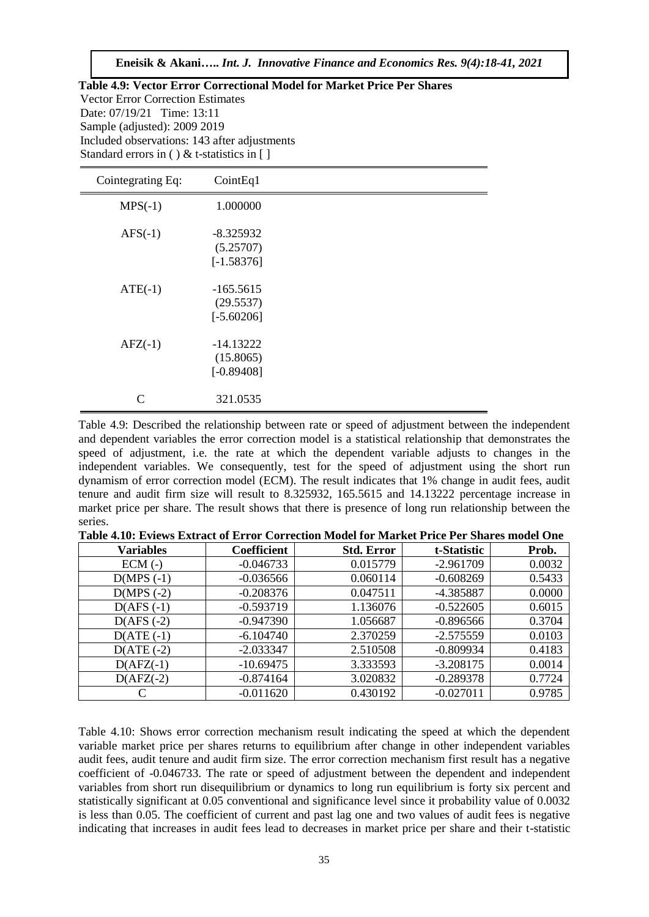**Eneisik & Akani…..** *Int. J. Innovative Finance and Economics Res. 9(4):18-41, 2021*

| Table 4.9: Vector Error Correctional Model for Market Price Per Shares |
|------------------------------------------------------------------------|
| <b>Vector Error Correction Estimates</b>                               |
| Date: $07/19/21$ Time: 13:11                                           |
| Sample (adjusted): 2009 2019                                           |
| Included observations: 143 after adjustments                           |
| Standard errors in () & t-statistics in []                             |
|                                                                        |

| Cointegrating Eq: | CointEq1                                 |  |
|-------------------|------------------------------------------|--|
| $MPS(-1)$         | 1.000000                                 |  |
| $AFS(-1)$         | $-8.325932$<br>(5.25707)<br>$[-1.58376]$ |  |
| $ATE(-1)$         | $-165.5615$<br>(29.5537)<br>$[-5.60206]$ |  |
| $AFZ(-1)$         | $-14.13222$<br>(15.8065)<br>$[-0.89408]$ |  |
| C                 | 321.0535                                 |  |

Table 4.9: Described the relationship between rate or speed of adjustment between the independent and dependent variables the error correction model is a statistical relationship that demonstrates the speed of adjustment, i.e. the rate at which the dependent variable adjusts to changes in the independent variables. We consequently, test for the speed of adjustment using the short run dynamism of error correction model (ECM). The result indicates that 1% change in audit fees, audit tenure and audit firm size will result to 8.325932, 165.5615 and 14.13222 percentage increase in market price per share. The result shows that there is presence of long run relationship between the series.

| <b>Variables</b> | Coefficient | <b>Std. Error</b> | t-Statistic | Prob.  |  |  |
|------------------|-------------|-------------------|-------------|--------|--|--|
| $ECM$ (-)        | $-0.046733$ | 0.015779          | $-2.961709$ | 0.0032 |  |  |
| $D(MPS(-1))$     | $-0.036566$ | 0.060114          | $-0.608269$ | 0.5433 |  |  |
| $D(MPS ( -2)$    | $-0.208376$ | 0.047511          | -4.385887   | 0.0000 |  |  |
| $D(AFS(-1))$     | $-0.593719$ | 1.136076          | $-0.522605$ | 0.6015 |  |  |
| $D(AFS(-2))$     | $-0.947390$ | 1.056687          | $-0.896566$ | 0.3704 |  |  |
| $D(ATE(-1))$     | $-6.104740$ | 2.370259          | $-2.575559$ | 0.0103 |  |  |

 $D(ATE (-2)$   $-2.033347$   $2.510508$   $-0.809934$   $0.4183$  $D(AFZ(-1)$  -10.69475 3.333593 -3.208175 0.0014  $D(AFZ(-2)$  -0.874164 3.020832 -0.289378 0.7724 C  $\qquad \qquad$  -0.011620 0.430192 -0.027011 0.9785

**Table 4.10: Eviews Extract of Error Correction Model for Market Price Per Shares model One**

Table 4.10: Shows error correction mechanism result indicating the speed at which the dependent variable market price per shares returns to equilibrium after change in other independent variables audit fees, audit tenure and audit firm size. The error correction mechanism first result has a negative coefficient of -0.046733. The rate or speed of adjustment between the dependent and independent variables from short run disequilibrium or dynamics to long run equilibrium is forty six percent and statistically significant at 0.05 conventional and significance level since it probability value of 0.0032 is less than 0.05. The coefficient of current and past lag one and two values of audit fees is negative indicating that increases in audit fees lead to decreases in market price per share and their t-statistic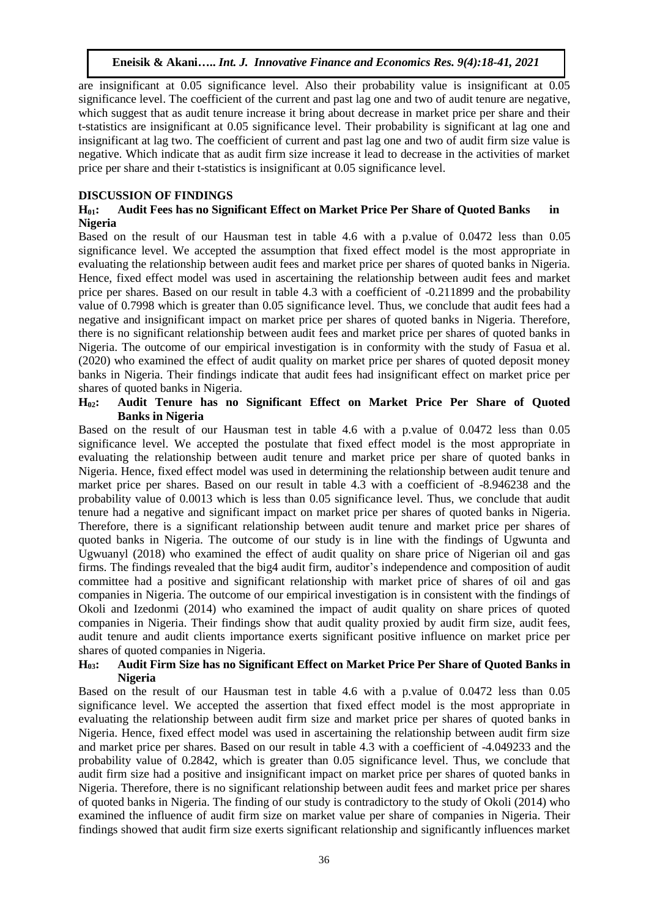are insignificant at 0.05 significance level. Also their probability value is insignificant at 0.05 significance level. The coefficient of the current and past lag one and two of audit tenure are negative, which suggest that as audit tenure increase it bring about decrease in market price per share and their t-statistics are insignificant at 0.05 significance level. Their probability is significant at lag one and insignificant at lag two. The coefficient of current and past lag one and two of audit firm size value is negative. Which indicate that as audit firm size increase it lead to decrease in the activities of market price per share and their t-statistics is insignificant at 0.05 significance level.

## **DISCUSSION OF FINDINGS**

#### **H01: Audit Fees has no Significant Effect on Market Price Per Share of Quoted Banks in Nigeria**

Based on the result of our Hausman test in table 4.6 with a p.value of 0.0472 less than 0.05 significance level. We accepted the assumption that fixed effect model is the most appropriate in evaluating the relationship between audit fees and market price per shares of quoted banks in Nigeria. Hence, fixed effect model was used in ascertaining the relationship between audit fees and market price per shares. Based on our result in table 4.3 with a coefficient of -0.211899 and the probability value of 0.7998 which is greater than 0.05 significance level. Thus, we conclude that audit fees had a negative and insignificant impact on market price per shares of quoted banks in Nigeria. Therefore, there is no significant relationship between audit fees and market price per shares of quoted banks in Nigeria. The outcome of our empirical investigation is in conformity with the study of Fasua et al. (2020) who examined the effect of audit quality on market price per shares of quoted deposit money banks in Nigeria. Their findings indicate that audit fees had insignificant effect on market price per shares of quoted banks in Nigeria.

#### **H02: Audit Tenure has no Significant Effect on Market Price Per Share of Quoted Banks in Nigeria**

Based on the result of our Hausman test in table 4.6 with a p.value of 0.0472 less than 0.05 significance level. We accepted the postulate that fixed effect model is the most appropriate in evaluating the relationship between audit tenure and market price per share of quoted banks in Nigeria. Hence, fixed effect model was used in determining the relationship between audit tenure and market price per shares. Based on our result in table 4.3 with a coefficient of -8.946238 and the probability value of 0.0013 which is less than 0.05 significance level. Thus, we conclude that audit tenure had a negative and significant impact on market price per shares of quoted banks in Nigeria. Therefore, there is a significant relationship between audit tenure and market price per shares of quoted banks in Nigeria. The outcome of our study is in line with the findings of Ugwunta and Ugwuanyl (2018) who examined the effect of audit quality on share price of Nigerian oil and gas firms. The findings revealed that the big4 audit firm, auditor's independence and composition of audit committee had a positive and significant relationship with market price of shares of oil and gas companies in Nigeria. The outcome of our empirical investigation is in consistent with the findings of Okoli and Izedonmi (2014) who examined the impact of audit quality on share prices of quoted companies in Nigeria. Their findings show that audit quality proxied by audit firm size, audit fees, audit tenure and audit clients importance exerts significant positive influence on market price per shares of quoted companies in Nigeria.

#### **H03: Audit Firm Size has no Significant Effect on Market Price Per Share of Quoted Banks in Nigeria**

Based on the result of our Hausman test in table 4.6 with a p.value of 0.0472 less than 0.05 significance level. We accepted the assertion that fixed effect model is the most appropriate in evaluating the relationship between audit firm size and market price per shares of quoted banks in Nigeria. Hence, fixed effect model was used in ascertaining the relationship between audit firm size and market price per shares. Based on our result in table 4.3 with a coefficient of -4.049233 and the probability value of 0.2842, which is greater than 0.05 significance level. Thus, we conclude that audit firm size had a positive and insignificant impact on market price per shares of quoted banks in Nigeria. Therefore, there is no significant relationship between audit fees and market price per shares of quoted banks in Nigeria. The finding of our study is contradictory to the study of Okoli (2014) who examined the influence of audit firm size on market value per share of companies in Nigeria. Their findings showed that audit firm size exerts significant relationship and significantly influences market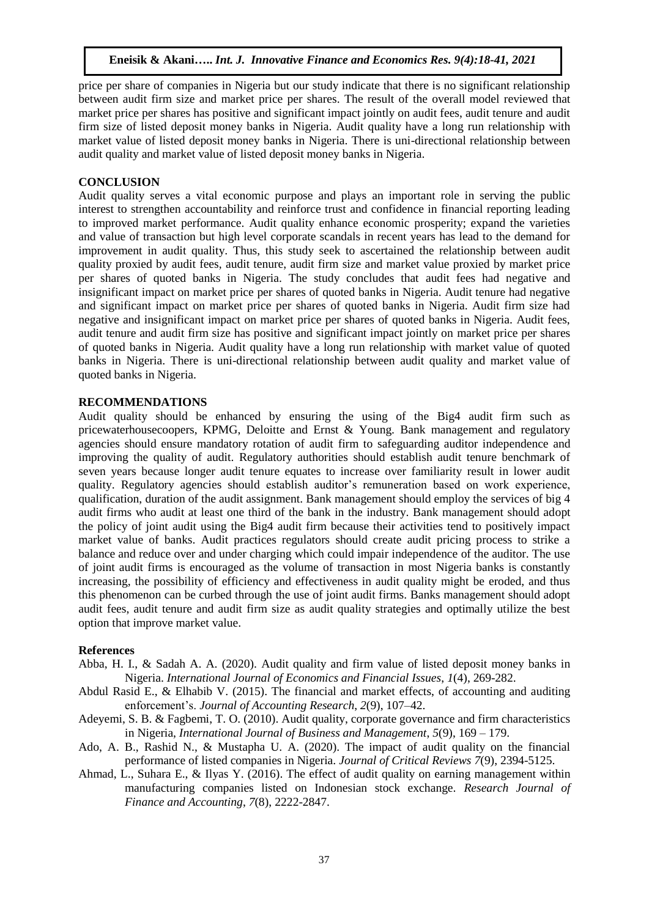price per share of companies in Nigeria but our study indicate that there is no significant relationship between audit firm size and market price per shares. The result of the overall model reviewed that market price per shares has positive and significant impact jointly on audit fees, audit tenure and audit firm size of listed deposit money banks in Nigeria. Audit quality have a long run relationship with market value of listed deposit money banks in Nigeria. There is uni-directional relationship between audit quality and market value of listed deposit money banks in Nigeria.

## **CONCLUSION**

Audit quality serves a vital economic purpose and plays an important role in serving the public interest to strengthen accountability and reinforce trust and confidence in financial reporting leading to improved market performance. Audit quality enhance economic prosperity; expand the varieties and value of transaction but high level corporate scandals in recent years has lead to the demand for improvement in audit quality. Thus, this study seek to ascertained the relationship between audit quality proxied by audit fees, audit tenure, audit firm size and market value proxied by market price per shares of quoted banks in Nigeria. The study concludes that audit fees had negative and insignificant impact on market price per shares of quoted banks in Nigeria. Audit tenure had negative and significant impact on market price per shares of quoted banks in Nigeria. Audit firm size had negative and insignificant impact on market price per shares of quoted banks in Nigeria. Audit fees, audit tenure and audit firm size has positive and significant impact jointly on market price per shares of quoted banks in Nigeria. Audit quality have a long run relationship with market value of quoted banks in Nigeria. There is uni-directional relationship between audit quality and market value of quoted banks in Nigeria.

## **RECOMMENDATIONS**

Audit quality should be enhanced by ensuring the using of the Big4 audit firm such as pricewaterhousecoopers, KPMG, Deloitte and Ernst & Young. Bank management and regulatory agencies should ensure mandatory rotation of audit firm to safeguarding auditor independence and improving the quality of audit. Regulatory authorities should establish audit tenure benchmark of seven years because longer audit tenure equates to increase over familiarity result in lower audit quality. Regulatory agencies should establish auditor's remuneration based on work experience, qualification, duration of the audit assignment. Bank management should employ the services of big 4 audit firms who audit at least one third of the bank in the industry. Bank management should adopt the policy of joint audit using the Big4 audit firm because their activities tend to positively impact market value of banks. Audit practices regulators should create audit pricing process to strike a balance and reduce over and under charging which could impair independence of the auditor. The use of joint audit firms is encouraged as the volume of transaction in most Nigeria banks is constantly increasing, the possibility of efficiency and effectiveness in audit quality might be eroded, and thus this phenomenon can be curbed through the use of joint audit firms. Banks management should adopt audit fees, audit tenure and audit firm size as audit quality strategies and optimally utilize the best option that improve market value.

#### **References**

- Abba, H. I., & Sadah A. A. (2020). Audit quality and firm value of listed deposit money banks in Nigeria. *International Journal of Economics and Financial Issues*, *1*(4), 269-282.
- Abdul Rasid E., & Elhabib V. (2015). The financial and market effects, of accounting and auditing enforcement's. *Journal of Accounting Research*, *2*(9), 107–42.
- Adeyemi, S. B. & Fagbemi, T. O. (2010). Audit quality, corporate governance and firm characteristics in Nigeria, *International Journal of Business and Management*, *5*(9), 169 – 179.
- Ado, A. B., Rashid N., & Mustapha U. A. (2020). The impact of audit quality on the financial performance of listed companies in Nigeria. *Journal of Critical Reviews 7*(9), 2394-5125.
- Ahmad, L., Suhara E., & Ilyas Y. (2016). The effect of audit quality on earning management within manufacturing companies listed on Indonesian stock exchange. *Research Journal of Finance and Accounting*, *7*(8), 2222-2847.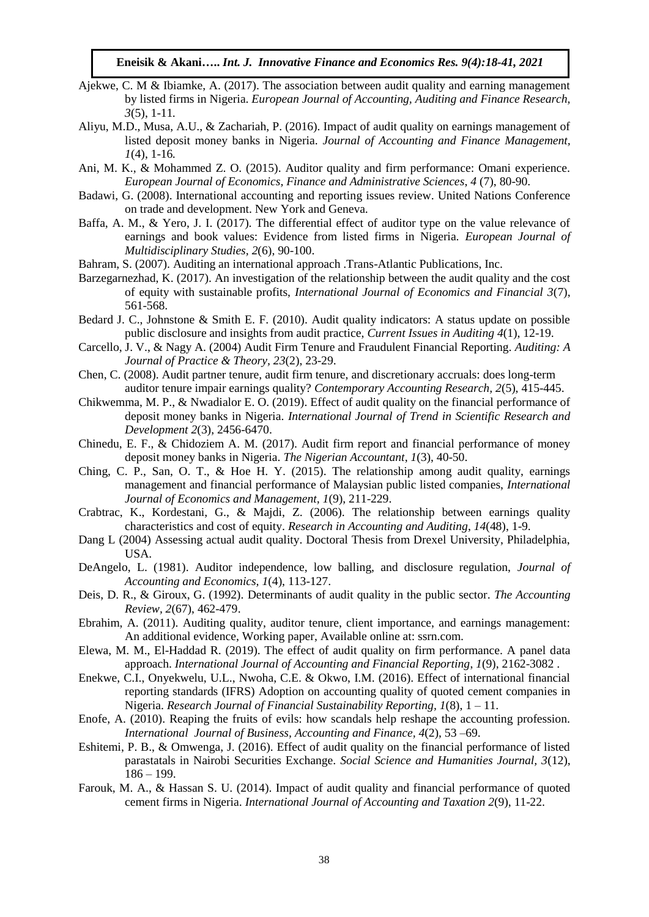- Ajekwe, C. M & Ibiamke, A. (2017). The association between audit quality and earning management by listed firms in Nigeria. *European Journal of Accounting, Auditing and Finance Research, 3*(5), 1-11*.*
- Aliyu, M.D., Musa, A.U., & Zachariah, P. (2016). Impact of audit quality on earnings management of listed deposit money banks in Nigeria. *Journal of Accounting and Finance Management, 1*(4), 1-16*.*
- Ani, M. K., & Mohammed Z. O. (2015). Auditor quality and firm performance: Omani experience. *European Journal of Economics, Finance and Administrative Sciences*, *4* (7), 80-90.
- Badawi, G. (2008). International accounting and reporting issues review. United Nations Conference on trade and development. New York and Geneva.
- Baffa, A. M., & Yero, J. I. (2017). The differential effect of auditor type on the value relevance of earnings and book values: Evidence from listed firms in Nigeria. *European Journal of Multidisciplinary Studies, 2*(6), 90-100.
- Bahram, S. (2007). Auditing an international approach .Trans-Atlantic Publications, Inc.
- Barzegarnezhad, K. (2017). An investigation of the relationship between the audit quality and the cost of equity with sustainable profits, *International Journal of Economics and Financial 3*(7), 561-568.
- Bedard J. C., Johnstone & Smith E. F. (2010). Audit quality indicators: A status update on possible public disclosure and insights from audit practice, *Current Issues in Auditing 4*(1), 12-19.
- Carcello, J. V., & Nagy A. (2004) Audit Firm Tenure and Fraudulent Financial Reporting. *Auditing: A Journal of Practice & Theory, 23*(2), 23-29.
- Chen, C. (2008). Audit partner tenure, audit firm tenure, and discretionary accruals: does long-term auditor tenure impair earnings quality? *Contemporary Accounting Research, 2*(5), 415-445.
- Chikwemma, M. P., & Nwadialor E. O. (2019). Effect of audit quality on the financial performance of deposit money banks in Nigeria. *International Journal of Trend in Scientific Research and Development 2*(3), 2456-6470.
- Chinedu, E. F., & Chidoziem A. M. (2017). Audit firm report and financial performance of money deposit money banks in Nigeria. *The Nigerian Accountant*, *1*(3), 40-50.
- Ching, C. P., San, O. T., & Hoe H. Y. (2015). The relationship among audit quality, earnings management and financial performance of Malaysian public listed companies, *International Journal of Economics and Management, 1*(9), 211-229.
- Crabtrac, K., Kordestani, G., & Majdi, Z. (2006). The relationship between earnings quality characteristics and cost of equity. *Research in Accounting and Auditing*, *14*(48), 1-9.
- Dang L (2004) Assessing actual audit quality. Doctoral Thesis from Drexel University, Philadelphia, USA.
- DeAngelo, L. (1981). Auditor independence, low balling, and disclosure regulation, *Journal of Accounting and Economics, 1*(4), 113-127.
- Deis, D. R., & Giroux, G. (1992). Determinants of audit quality in the public sector. *The Accounting Review, 2*(67), 462-479.
- Ebrahim, A. (2011). Auditing quality, auditor tenure, client importance, and earnings management: An additional evidence, Working paper, Available online at: ssrn.com.
- Elewa, M. M., El-Haddad R. (2019). The effect of audit quality on firm performance. A panel data approach. *International Journal of Accounting and Financial Reporting*, *1*(9), 2162-3082 .
- Enekwe, C.I., Onyekwelu, U.L., Nwoha, C.E. & Okwo, I.M. (2016). Effect of international financial reporting standards (IFRS) Adoption on accounting quality of quoted cement companies in Nigeria. *Research Journal of Financial Sustainability Reporting, 1*(8), 1 – 11.
- Enofe, A. (2010). Reaping the fruits of evils: how scandals help reshape the accounting profession. *International Journal of Business, Accounting and Finance, 4*(2), 53 –69.
- Eshitemi, P. B., & Omwenga, J. (2016). Effect of audit quality on the financial performance of listed parastatals in Nairobi Securities Exchange. *Social Science and Humanities Journal, 3*(12),  $186 - 199.$
- Farouk, M. A., & Hassan S. U. (2014). Impact of audit quality and financial performance of quoted cement firms in Nigeria. *International Journal of Accounting and Taxation 2*(9), 11-22.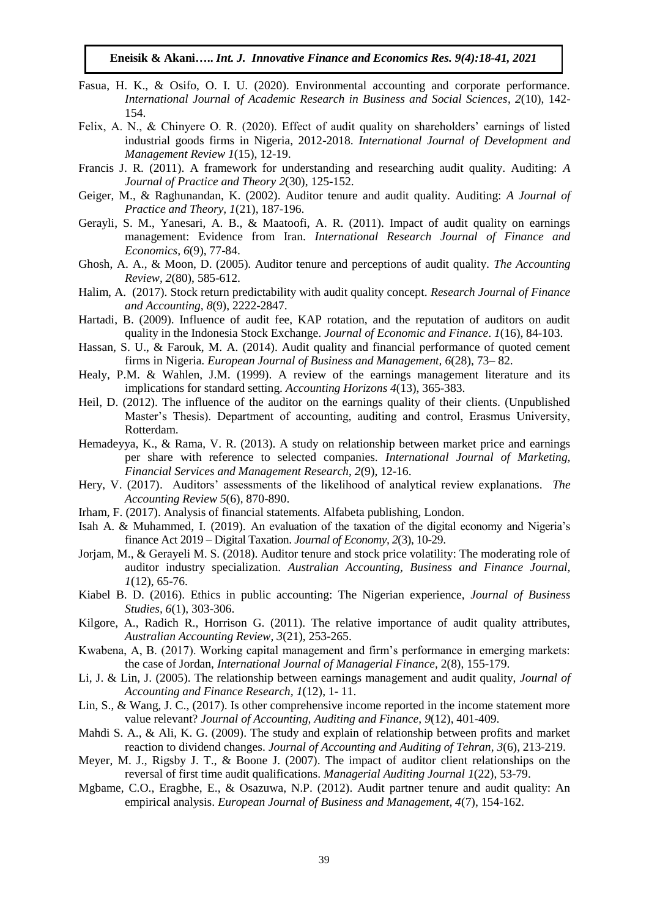- Fasua, H. K., & Osifo, O. I. U. (2020). Environmental accounting and corporate performance. *International Journal of Academic Research in Business and Social Sciences*, *2*(10), 142- 154.
- Felix, A. N., & Chinyere O. R. (2020). Effect of audit quality on shareholders' earnings of listed industrial goods firms in Nigeria, 2012-2018. *International Journal of Development and Management Review 1*(15), 12-19.
- Francis J. R. (2011). A framework for understanding and researching audit quality. Auditing: *A Journal of Practice and Theory 2*(30), 125-152.
- Geiger, M., & Raghunandan, K. (2002). Auditor tenure and audit quality. Auditing: *A Journal of Practice and Theory, 1*(21), 187-196.
- Gerayli, S. M., Yanesari, A. B., & Maatoofi, A. R. (2011). Impact of audit quality on earnings management: Evidence from Iran. *International Research Journal of Finance and Economics, 6*(9), 77-84.
- Ghosh, A. A., & Moon, D. (2005). Auditor tenure and perceptions of audit quality. *The Accounting Review, 2*(80), 585-612.
- Halim, A. (2017). Stock return predictability with audit quality concept. *Research Journal of Finance and Accounting, 8*(9), 2222-2847.
- Hartadi, B. (2009). Influence of audit fee, KAP rotation, and the reputation of auditors on audit quality in the Indonesia Stock Exchange. *Journal of Economic and Finance*. *1*(16), 84-103.
- Hassan, S. U., & Farouk, M. A. (2014). Audit quality and financial performance of quoted cement firms in Nigeria. *European Journal of Business and Management, 6*(28), 73– 82.
- Healy, P.M. & Wahlen, J.M. (1999). A review of the earnings management literature and its implications for standard setting. *Accounting Horizons 4*(13), 365-383.
- Heil, D. (2012). The influence of the auditor on the earnings quality of their clients. (Unpublished Master's Thesis). Department of accounting, auditing and control, Erasmus University, Rotterdam.
- Hemadeyya, K., & Rama, V. R. (2013). A study on relationship between market price and earnings per share with reference to selected companies. *International Journal of Marketing, Financial Services and Management Research*, *2*(9), 12-16.
- Hery, V. (2017). Auditors' assessments of the likelihood of analytical review explanations. *The Accounting Review 5*(6), 870-890.
- Irham, F. (2017). Analysis of financial statements. Alfabeta publishing, London.
- Isah A. & Muhammed, I. (2019). An evaluation of the taxation of the digital economy and Nigeria's finance Act 2019 – Digital Taxation. *Journal of Economy, 2*(3), 10-29.
- Jorjam, M., & Gerayeli M. S. (2018). Auditor tenure and stock price volatility: The moderating role of auditor industry specialization. *Australian Accounting, Business and Finance Journal, 1*(12), 65-76.
- Kiabel B. D. (2016). Ethics in public accounting: The Nigerian experience, *Journal of Business Studies, 6*(1), 303-306.
- Kilgore, A., Radich R., Horrison G. (2011). The relative importance of audit quality attributes, *Australian Accounting Review, 3*(21), 253-265.
- Kwabena, A, B. (2017). Working capital management and firm's performance in emerging markets: the case of Jordan, *International Journal of Managerial Finance,* 2(8), 155-179.
- Li, J. & Lin, J. (2005). The relationship between earnings management and audit quality, *Journal of Accounting and Finance Research, 1*(12), 1- 11.
- Lin, S., & Wang, J. C., (2017). Is other comprehensive income reported in the income statement more value relevant? *Journal of Accounting, Auditing and Finance*, *9*(12), 401-409.
- Mahdi S. A., & Ali, K. G. (2009). The study and explain of relationship between profits and market reaction to dividend changes. *Journal of Accounting and Auditing of Tehran*, *3*(6), 213-219.
- Meyer, M. J., Rigsby J. T., & Boone J. (2007). The impact of auditor client relationships on the reversal of first time audit qualifications. *Managerial Auditing Journal 1*(22), 53-79.
- Mgbame, C.O., Eragbhe, E., & Osazuwa, N.P. (2012). Audit partner tenure and audit quality: An empirical analysis. *European Journal of Business and Management, 4*(7), 154-162.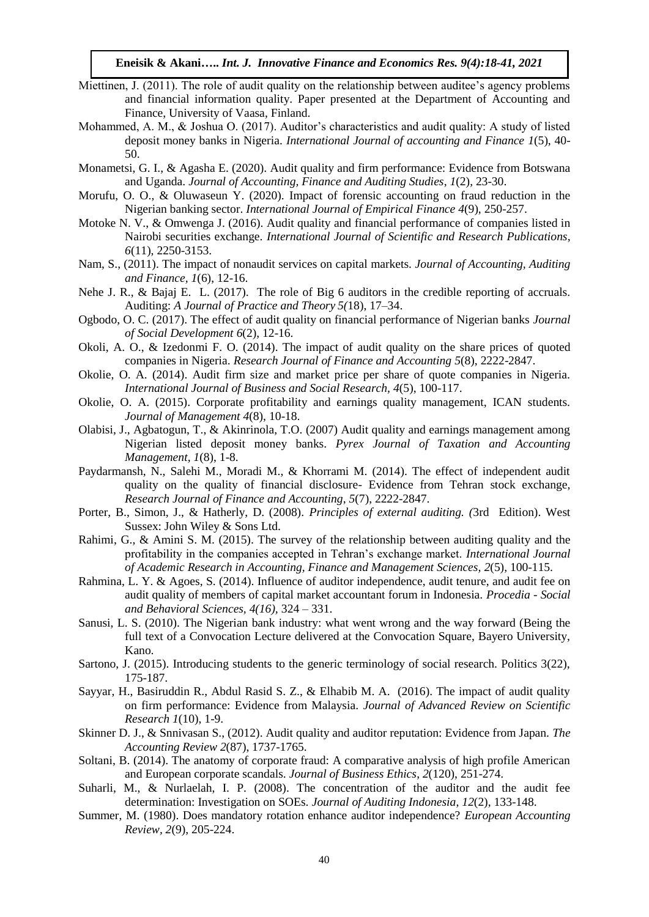- Miettinen, J. (2011). The role of audit quality on the relationship between auditee's agency problems and financial information quality. Paper presented at the Department of Accounting and Finance, University of Vaasa, Finland.
- Mohammed, A. M., & Joshua O. (2017). Auditor's characteristics and audit quality: A study of listed deposit money banks in Nigeria. *International Journal of accounting and Finance 1*(5), 40- 50.
- Monametsi, G. I., & Agasha E. (2020). Audit quality and firm performance: Evidence from Botswana and Uganda. *Journal of Accounting, Finance and Auditing Studies*, *1*(2), 23-30.
- Morufu, O. O., & Oluwaseun Y. (2020). Impact of forensic accounting on fraud reduction in the Nigerian banking sector. *International Journal of Empirical Finance 4*(9), 250-257.
- Motoke N. V., & Omwenga J. (2016). Audit quality and financial performance of companies listed in Nairobi securities exchange. *International Journal of Scientific and Research Publications*, *6*(11), 2250-3153.
- Nam, S., (2011). The impact of nonaudit services on capital markets. *Journal of Accounting, Auditing and Finance, 1*(6), 12-16.
- Nehe J. R., & Bajaj E. L. (2017). The role of Big 6 auditors in the credible reporting of accruals. Auditing: *A Journal of Practice and Theory 5(*18), 17–34.
- Ogbodo, O. C. (2017). The effect of audit quality on financial performance of Nigerian banks *Journal of Social Development 6*(2), 12-16.
- Okoli, A. O., & Izedonmi F. O. (2014). The impact of audit quality on the share prices of quoted companies in Nigeria. *Research Journal of Finance and Accounting 5*(8), 2222-2847.
- Okolie, O. A. (2014). Audit firm size and market price per share of quote companies in Nigeria. *International Journal of Business and Social Research, 4*(5), 100-117.
- Okolie, O. A. (2015). Corporate profitability and earnings quality management, ICAN students. *Journal of Management 4*(8), 10-18.
- Olabisi, J., Agbatogun, T., & Akinrinola, T.O. (2007) Audit quality and earnings management among Nigerian listed deposit money banks. *Pyrex Journal of Taxation and Accounting Management, 1*(8), 1-8.
- Paydarmansh, N., Salehi M., Moradi M., & Khorrami M. (2014). The effect of independent audit quality on the quality of financial disclosure- Evidence from Tehran stock exchange, *Research Journal of Finance and Accounting*, *5*(7), 2222-2847.
- Porter, B., Simon, J., & Hatherly, D. (2008). *Principles of external auditing. (*3rd Edition). West Sussex: John Wiley & Sons Ltd.
- Rahimi, G., & Amini S. M. (2015). The survey of the relationship between auditing quality and the profitability in the companies accepted in Tehran's exchange market. *International Journal of Academic Research in Accounting, Finance and Management Sciences, 2*(5), 100-115.
- Rahmina, L. Y. & Agoes, S. (2014). Influence of auditor independence, audit tenure, and audit fee on audit quality of members of capital market accountant forum in Indonesia. *Procedia - Social and Behavioral Sciences, 4(16),* 324 – 331.
- Sanusi, L. S. (2010). The Nigerian bank industry: what went wrong and the way forward (Being the full text of a Convocation Lecture delivered at the Convocation Square, Bayero University, Kano.
- Sartono, J. (2015). Introducing students to the generic terminology of social research. Politics 3(22), 175-187.
- Sayyar, H., Basiruddin R., Abdul Rasid S. Z., & Elhabib M. A. (2016). The impact of audit quality on firm performance: Evidence from Malaysia. *Journal of Advanced Review on Scientific Research 1*(10), 1-9.
- Skinner D. J., & Snnivasan S., (2012). Audit quality and auditor reputation: Evidence from Japan. *The Accounting Review 2*(87), 1737-1765.
- Soltani, B. (2014). The anatomy of corporate fraud: A comparative analysis of high profile American and European corporate scandals. *Journal of Business Ethics*, *2*(120), 251-274.
- Suharli, M., & Nurlaelah, I. P. (2008). The concentration of the auditor and the audit fee determination: Investigation on SOEs. *Journal of Auditing Indonesia*, *12*(2), 133-148.
- Summer, M. (1980). Does mandatory rotation enhance auditor independence? *European Accounting Review, 2*(9), 205-224.